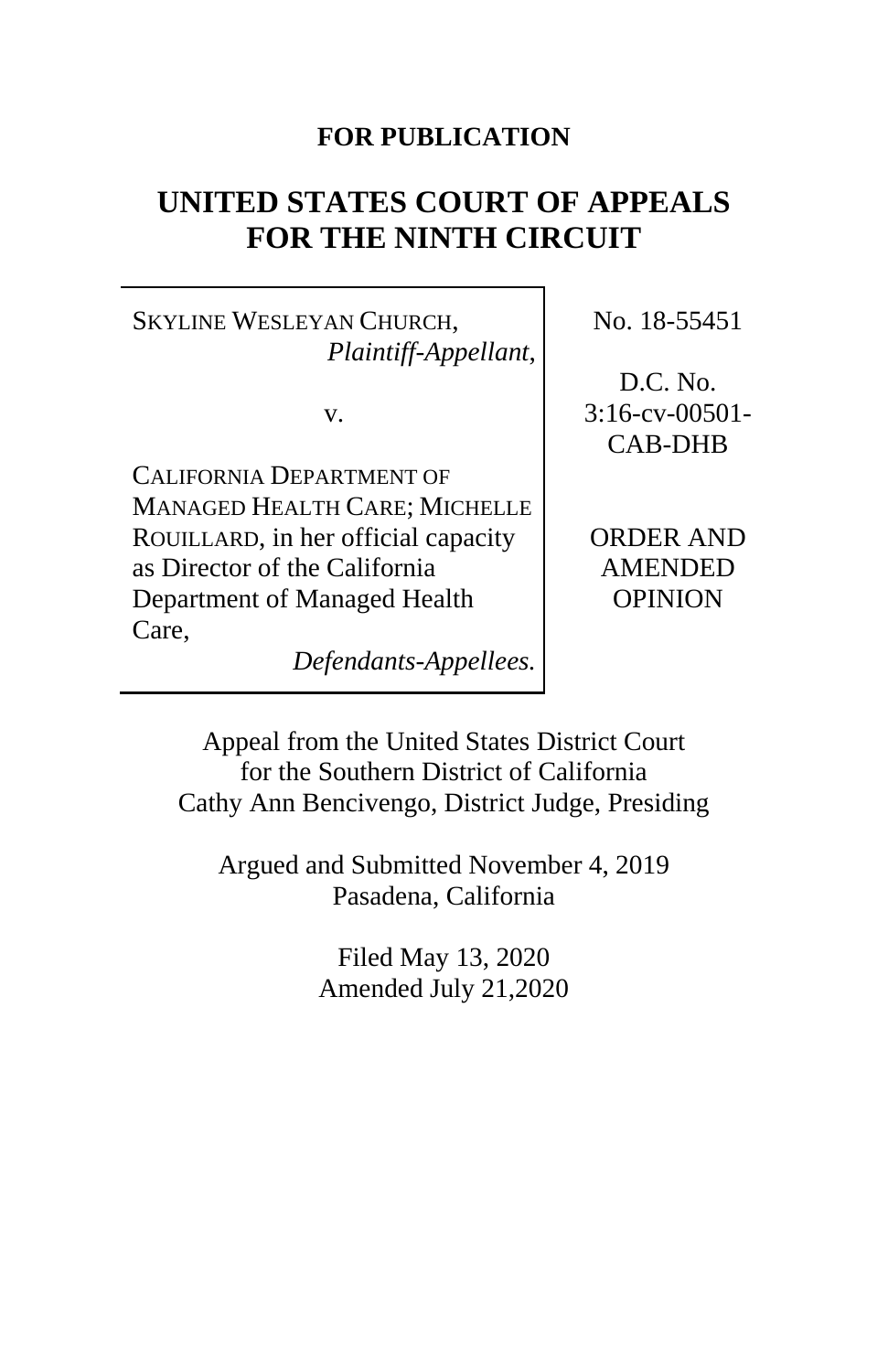# **FOR PUBLICATION**

# **UNITED STATES COURT OF APPEALS FOR THE NINTH CIRCUIT**

SKYLINE WESLEYAN CHURCH, *Plaintiff-Appellant*,

v.

CALIFORNIA DEPARTMENT OF MANAGED HEALTH CARE; MICHELLE ROUILLARD, in her official capacity as Director of the California Department of Managed Health Care,

*Defendants-Appellees.*

No. 18-55451

D.C. No. 3:16-cv-00501- CAB-DHB

ORDER AND AMENDED OPINION

Appeal from the United States District Court for the Southern District of California Cathy Ann Bencivengo, District Judge, Presiding

Argued and Submitted November 4, 2019 Pasadena, California

> Filed May 13, 2020 Amended July 21,2020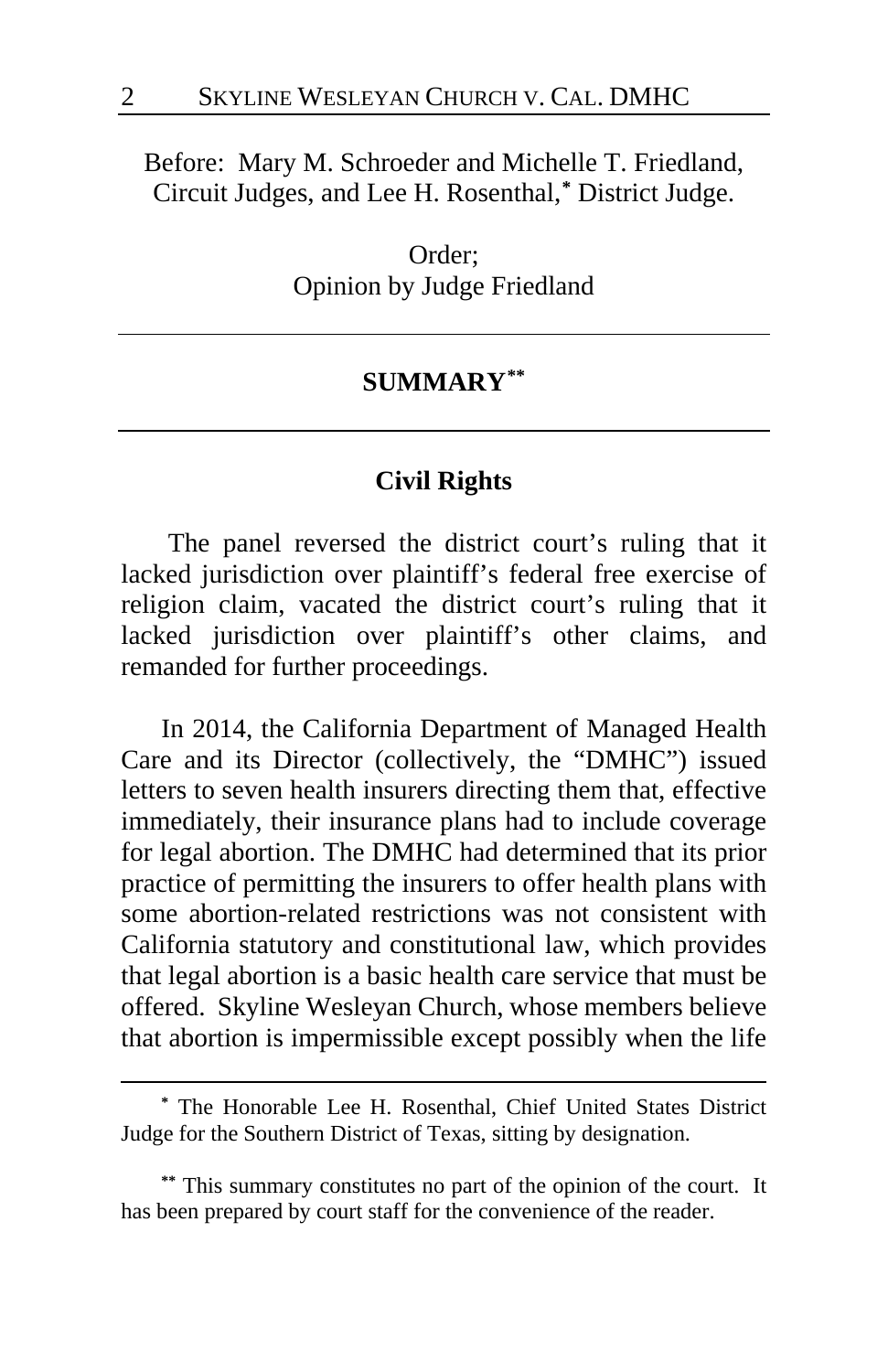Before: Mary M. Schroeder and Michelle T. Friedland, Circuit Judges, and Lee H. Rosenthal,**[\\*](#page-1-0)** District Judge.

> Order; Opinion by Judge Friedland

# **SUMMARY[\\*\\*](#page-1-1)**

# **Civil Rights**

The panel reversed the district court's ruling that it lacked jurisdiction over plaintiff's federal free exercise of religion claim, vacated the district court's ruling that it lacked jurisdiction over plaintiff's other claims, and remanded for further proceedings.

In 2014, the California Department of Managed Health Care and its Director (collectively, the "DMHC") issued letters to seven health insurers directing them that, effective immediately, their insurance plans had to include coverage for legal abortion. The DMHC had determined that its prior practice of permitting the insurers to offer health plans with some abortion-related restrictions was not consistent with California statutory and constitutional law, which provides that legal abortion is a basic health care service that must be offered. Skyline Wesleyan Church, whose members believe that abortion is impermissible except possibly when the life

<span id="page-1-0"></span>**<sup>\*</sup>** The Honorable Lee H. Rosenthal, Chief United States District Judge for the Southern District of Texas, sitting by designation.

<span id="page-1-1"></span>**<sup>\*\*</sup>** This summary constitutes no part of the opinion of the court. It has been prepared by court staff for the convenience of the reader.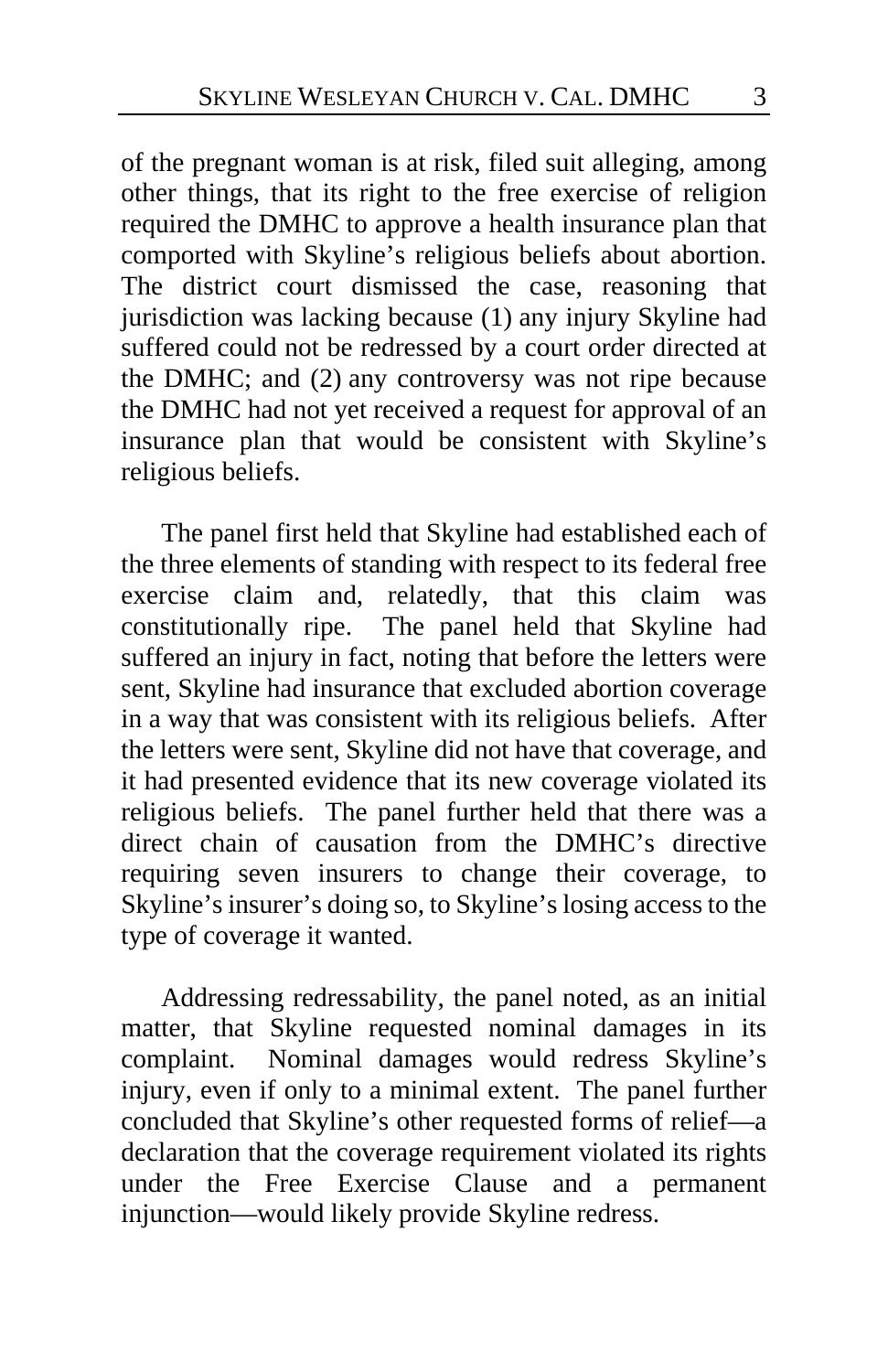of the pregnant woman is at risk, filed suit alleging, among other things, that its right to the free exercise of religion required the DMHC to approve a health insurance plan that comported with Skyline's religious beliefs about abortion. The district court dismissed the case, reasoning that jurisdiction was lacking because (1) any injury Skyline had suffered could not be redressed by a court order directed at the DMHC; and (2) any controversy was not ripe because the DMHC had not yet received a request for approval of an insurance plan that would be consistent with Skyline's religious beliefs.

The panel first held that Skyline had established each of the three elements of standing with respect to its federal free exercise claim and, relatedly, that this claim was constitutionally ripe. The panel held that Skyline had suffered an injury in fact, noting that before the letters were sent, Skyline had insurance that excluded abortion coverage in a way that was consistent with its religious beliefs. After the letters were sent, Skyline did not have that coverage, and it had presented evidence that its new coverage violated its religious beliefs. The panel further held that there was a direct chain of causation from the DMHC's directive requiring seven insurers to change their coverage, to Skyline's insurer's doing so, to Skyline's losing access to the type of coverage it wanted.

Addressing redressability, the panel noted, as an initial matter, that Skyline requested nominal damages in its complaint. Nominal damages would redress Skyline's injury, even if only to a minimal extent. The panel further concluded that Skyline's other requested forms of relief—a declaration that the coverage requirement violated its rights under the Free Exercise Clause and a permanent injunction—would likely provide Skyline redress.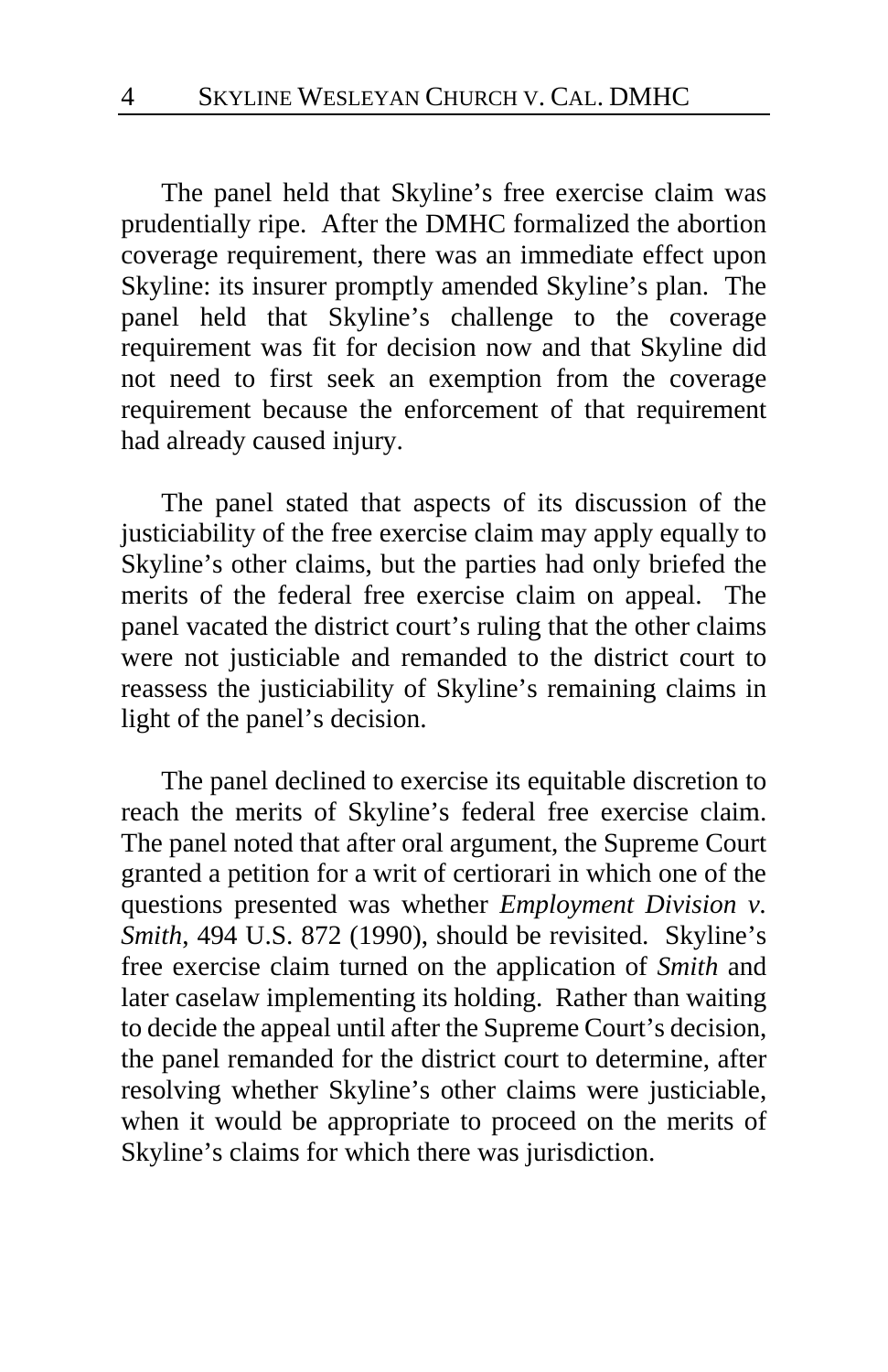The panel held that Skyline's free exercise claim was prudentially ripe. After the DMHC formalized the abortion coverage requirement, there was an immediate effect upon Skyline: its insurer promptly amended Skyline's plan. The panel held that Skyline's challenge to the coverage requirement was fit for decision now and that Skyline did not need to first seek an exemption from the coverage requirement because the enforcement of that requirement had already caused injury.

The panel stated that aspects of its discussion of the justiciability of the free exercise claim may apply equally to Skyline's other claims, but the parties had only briefed the merits of the federal free exercise claim on appeal. The panel vacated the district court's ruling that the other claims were not justiciable and remanded to the district court to reassess the justiciability of Skyline's remaining claims in light of the panel's decision.

The panel declined to exercise its equitable discretion to reach the merits of Skyline's federal free exercise claim. The panel noted that after oral argument, the Supreme Court granted a petition for a writ of certiorari in which one of the questions presented was whether *Employment Division v. Smith*, 494 U.S. 872 (1990), should be revisited. Skyline's free exercise claim turned on the application of *Smith* and later caselaw implementing its holding. Rather than waiting to decide the appeal until after the Supreme Court's decision, the panel remanded for the district court to determine, after resolving whether Skyline's other claims were justiciable, when it would be appropriate to proceed on the merits of Skyline's claims for which there was jurisdiction.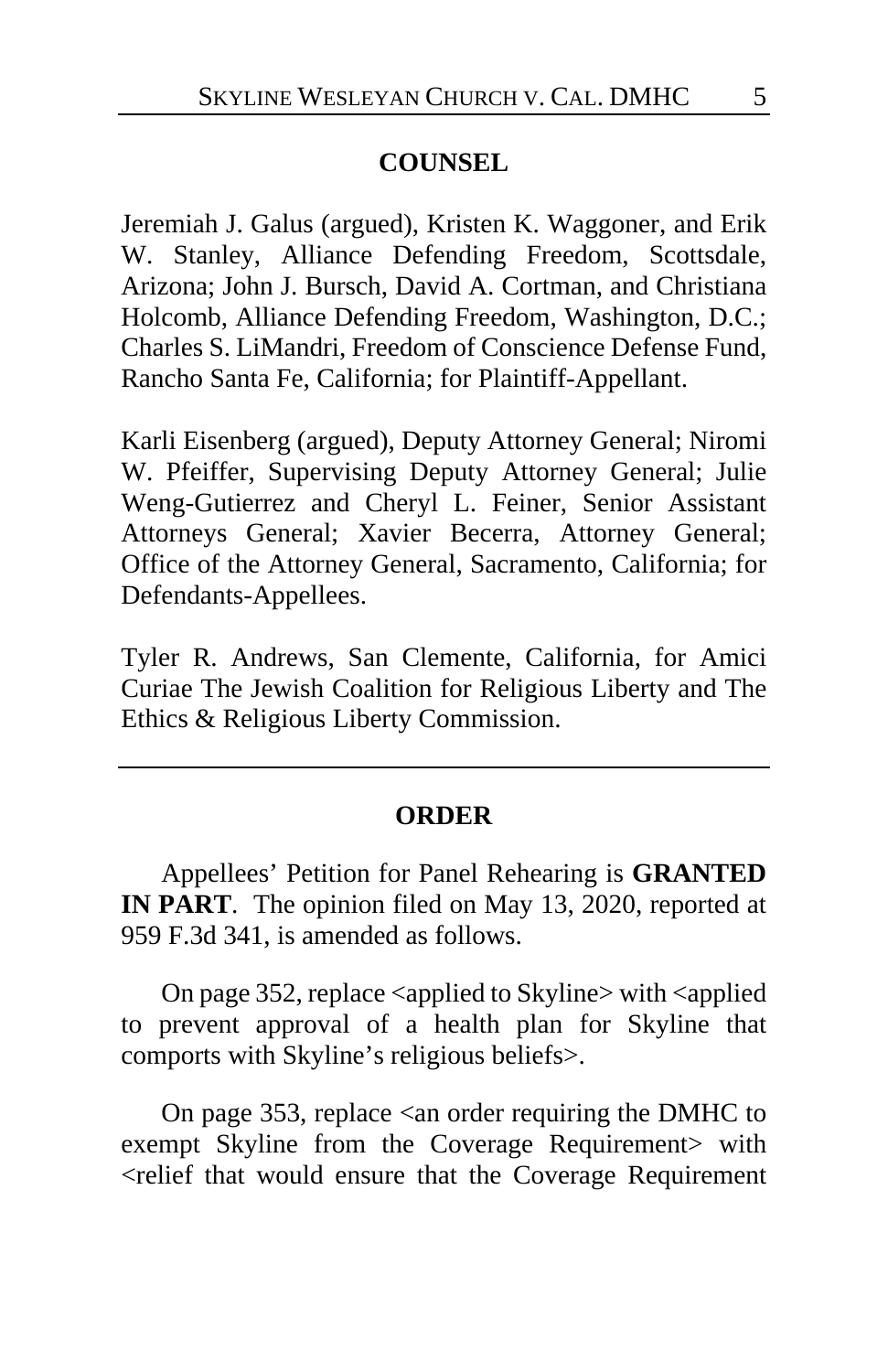# **COUNSEL**

Jeremiah J. Galus (argued), Kristen K. Waggoner, and Erik W. Stanley, Alliance Defending Freedom, Scottsdale, Arizona; John J. Bursch, David A. Cortman, and Christiana Holcomb, Alliance Defending Freedom, Washington, D.C.; Charles S. LiMandri, Freedom of Conscience Defense Fund, Rancho Santa Fe, California; for Plaintiff-Appellant.

Karli Eisenberg (argued), Deputy Attorney General; Niromi W. Pfeiffer, Supervising Deputy Attorney General; Julie Weng-Gutierrez and Cheryl L. Feiner, Senior Assistant Attorneys General; Xavier Becerra, Attorney General; Office of the Attorney General, Sacramento, California; for Defendants-Appellees.

Tyler R. Andrews, San Clemente, California, for Amici Curiae The Jewish Coalition for Religious Liberty and The Ethics & Religious Liberty Commission.

#### **ORDER**

Appellees' Petition for Panel Rehearing is **GRANTED IN PART**. The opinion filed on May 13, 2020, reported at 959 F.3d 341, is amended as follows.

On page 352, replace <applied to Skyline> with <applied to prevent approval of a health plan for Skyline that comports with Skyline's religious beliefs>.

On page 353, replace <an order requiring the DMHC to exempt Skyline from the Coverage Requirement> with <relief that would ensure that the Coverage Requirement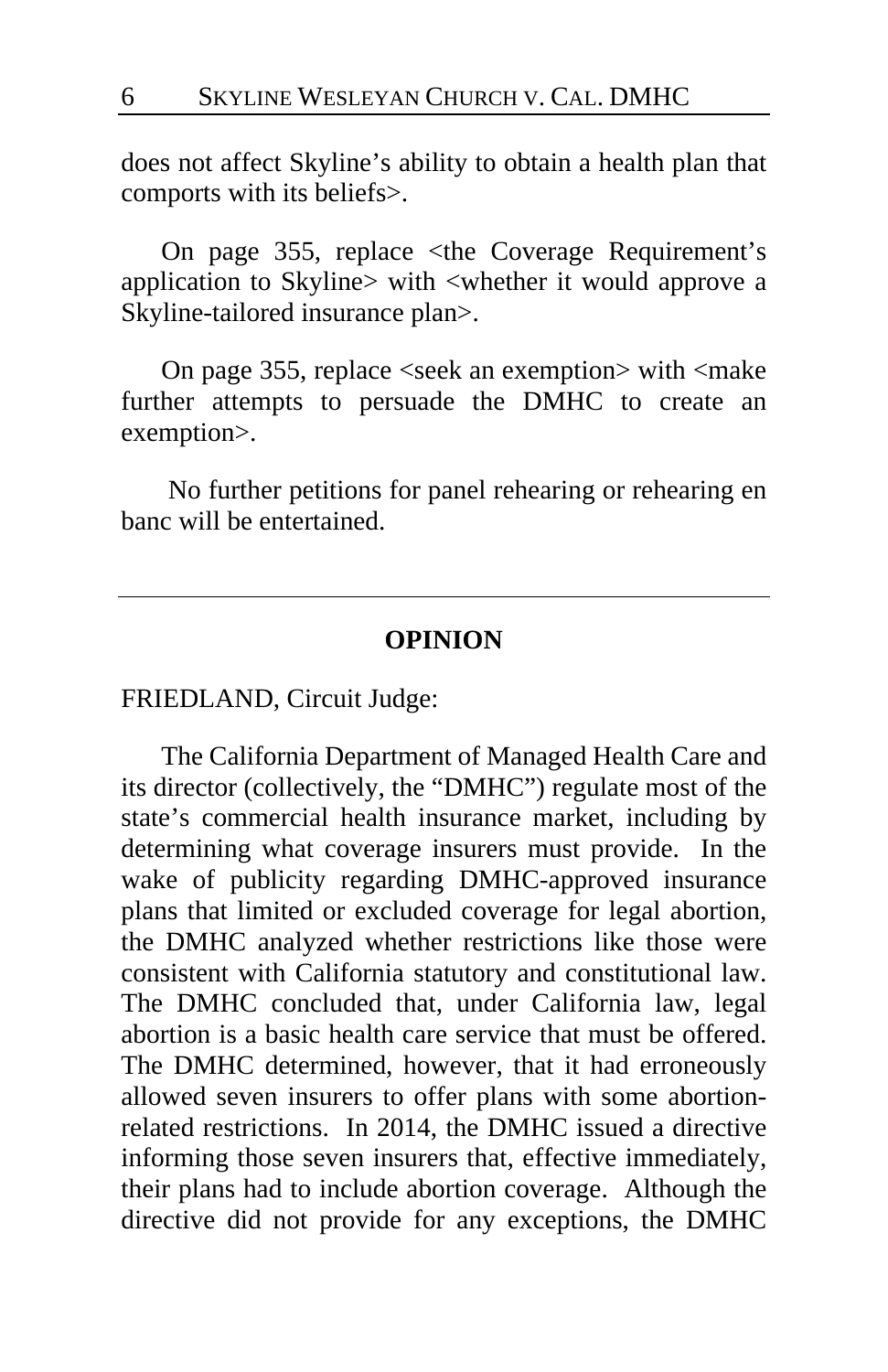does not affect Skyline's ability to obtain a health plan that comports with its beliefs>.

On page 355, replace <the Coverage Requirement's application to Skyline> with <whether it would approve a Skyline-tailored insurance plan>.

On page 355, replace <seek an exemption> with <make further attempts to persuade the DMHC to create an exemption>.

No further petitions for panel rehearing or rehearing en banc will be entertained.

#### **OPINION**

FRIEDLAND, Circuit Judge:

The California Department of Managed Health Care and its director (collectively, the "DMHC") regulate most of the state's commercial health insurance market, including by determining what coverage insurers must provide. In the wake of publicity regarding DMHC-approved insurance plans that limited or excluded coverage for legal abortion, the DMHC analyzed whether restrictions like those were consistent with California statutory and constitutional law. The DMHC concluded that, under California law, legal abortion is a basic health care service that must be offered. The DMHC determined, however, that it had erroneously allowed seven insurers to offer plans with some abortionrelated restrictions. In 2014, the DMHC issued a directive informing those seven insurers that, effective immediately, their plans had to include abortion coverage. Although the directive did not provide for any exceptions, the DMHC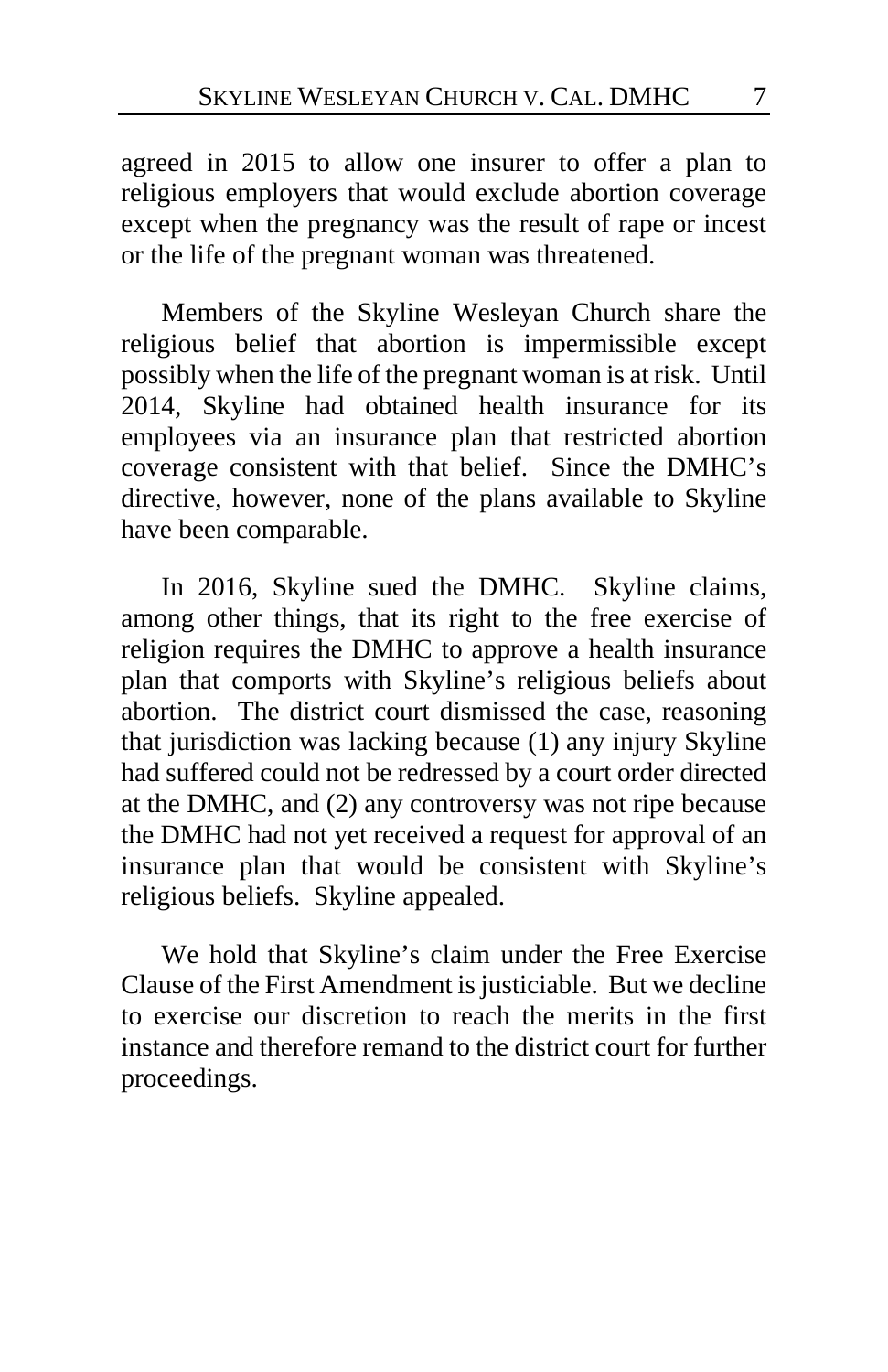agreed in 2015 to allow one insurer to offer a plan to religious employers that would exclude abortion coverage except when the pregnancy was the result of rape or incest or the life of the pregnant woman was threatened.

Members of the Skyline Wesleyan Church share the religious belief that abortion is impermissible except possibly when the life of the pregnant woman is at risk. Until 2014, Skyline had obtained health insurance for its employees via an insurance plan that restricted abortion coverage consistent with that belief. Since the DMHC's directive, however, none of the plans available to Skyline have been comparable.

In 2016, Skyline sued the DMHC. Skyline claims, among other things, that its right to the free exercise of religion requires the DMHC to approve a health insurance plan that comports with Skyline's religious beliefs about abortion. The district court dismissed the case, reasoning that jurisdiction was lacking because (1) any injury Skyline had suffered could not be redressed by a court order directed at the DMHC, and (2) any controversy was not ripe because the DMHC had not yet received a request for approval of an insurance plan that would be consistent with Skyline's religious beliefs. Skyline appealed.

We hold that Skyline's claim under the Free Exercise Clause of the First Amendment is justiciable. But we decline to exercise our discretion to reach the merits in the first instance and therefore remand to the district court for further proceedings.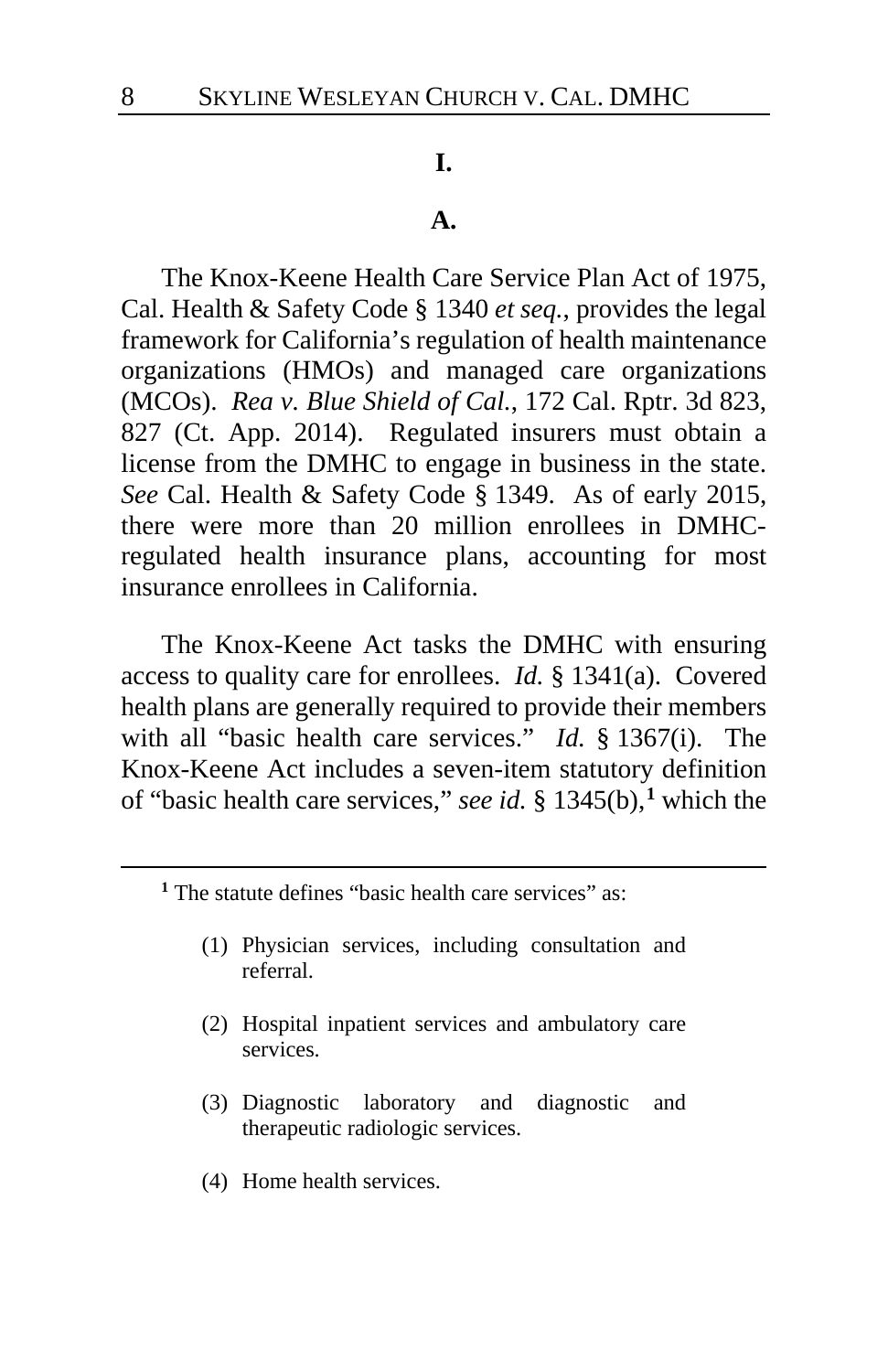#### **I.**

#### **A.**

The Knox-Keene Health Care Service Plan Act of 1975, Cal. Health & Safety Code § 1340 *et seq.*, provides the legal framework for California's regulation of health maintenance organizations (HMOs) and managed care organizations (MCOs). *Rea v. Blue Shield of Cal.*, 172 Cal. Rptr. 3d 823, 827 (Ct. App. 2014). Regulated insurers must obtain a license from the DMHC to engage in business in the state. *See* Cal. Health & Safety Code § 1349. As of early 2015, there were more than 20 million enrollees in DMHCregulated health insurance plans, accounting for most insurance enrollees in California.

The Knox-Keene Act tasks the DMHC with ensuring access to quality care for enrollees. *Id.* § 1341(a). Covered health plans are generally required to provide their members with all "basic health care services." *Id.* § 1367(i). The Knox-Keene Act includes a seven-item statutory definition of "basic health care services," *see id.* § 1345(b),**[1](#page-7-0)** which the

<span id="page-7-0"></span>**<sup>1</sup>** The statute defines "basic health care services" as:

- (1) Physician services, including consultation and referral.
- (2) Hospital inpatient services and ambulatory care services.
- (3) Diagnostic laboratory and diagnostic and therapeutic radiologic services.
- (4) Home health services.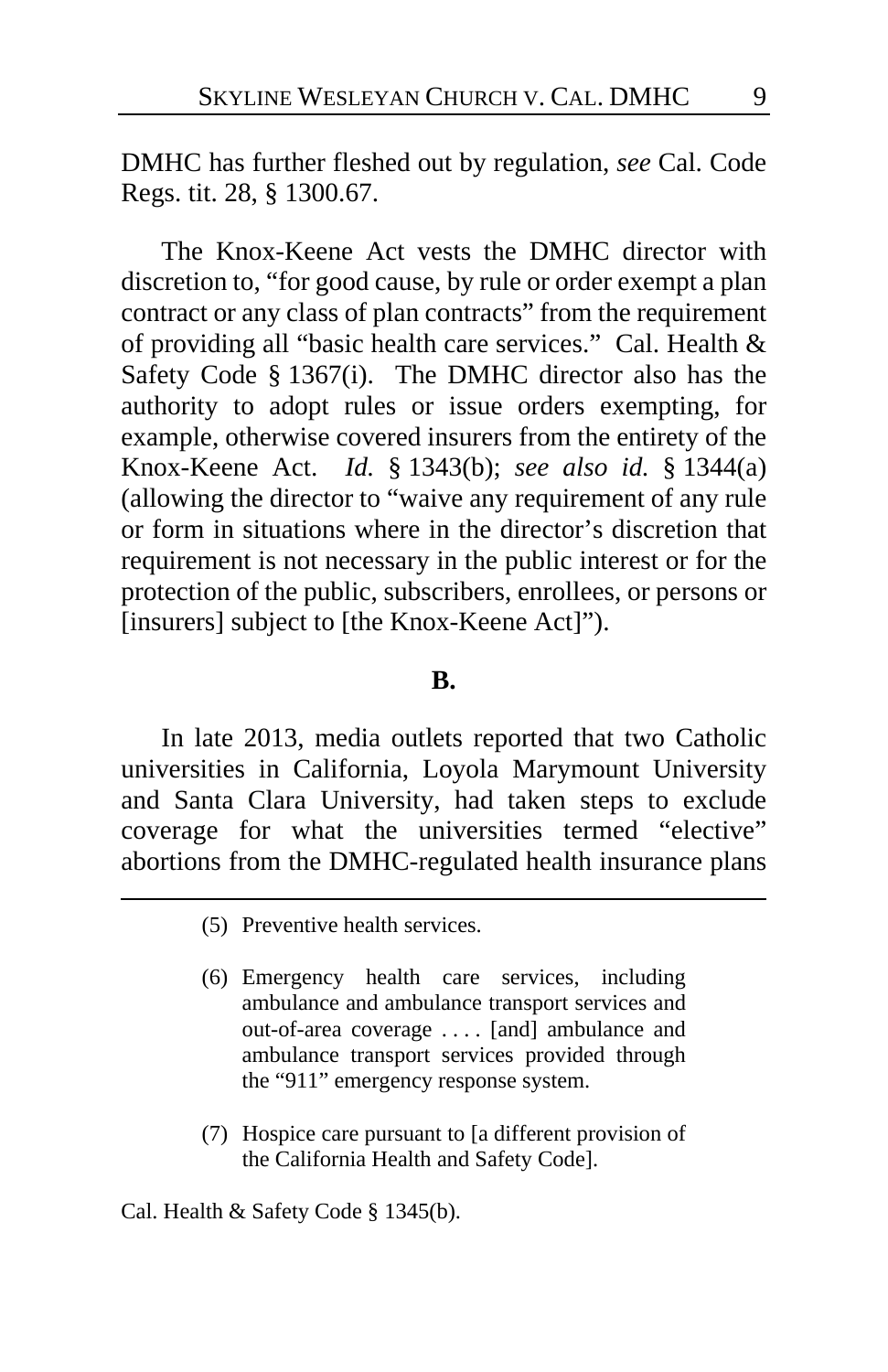DMHC has further fleshed out by regulation, *see* Cal. Code Regs. tit. 28, § 1300.67.

The Knox-Keene Act vests the DMHC director with discretion to, "for good cause, by rule or order exempt a plan contract or any class of plan contracts" from the requirement of providing all "basic health care services." Cal. Health & Safety Code § 1367(i). The DMHC director also has the authority to adopt rules or issue orders exempting, for example, otherwise covered insurers from the entirety of the Knox-Keene Act. *Id.* § 1343(b); *see also id.* § 1344(a) (allowing the director to "waive any requirement of any rule or form in situations where in the director's discretion that requirement is not necessary in the public interest or for the protection of the public, subscribers, enrollees, or persons or [insurers] subject to [the Knox-Keene Act]").

#### **B.**

In late 2013, media outlets reported that two Catholic universities in California, Loyola Marymount University and Santa Clara University, had taken steps to exclude coverage for what the universities termed "elective" abortions from the DMHC-regulated health insurance plans

- (5) Preventive health services.
- (6) Emergency health care services, including ambulance and ambulance transport services and out-of-area coverage . . . . [and] ambulance and ambulance transport services provided through the "911" emergency response system.
- (7) Hospice care pursuant to [a different provision of the California Health and Safety Code].

Cal. Health & Safety Code § 1345(b).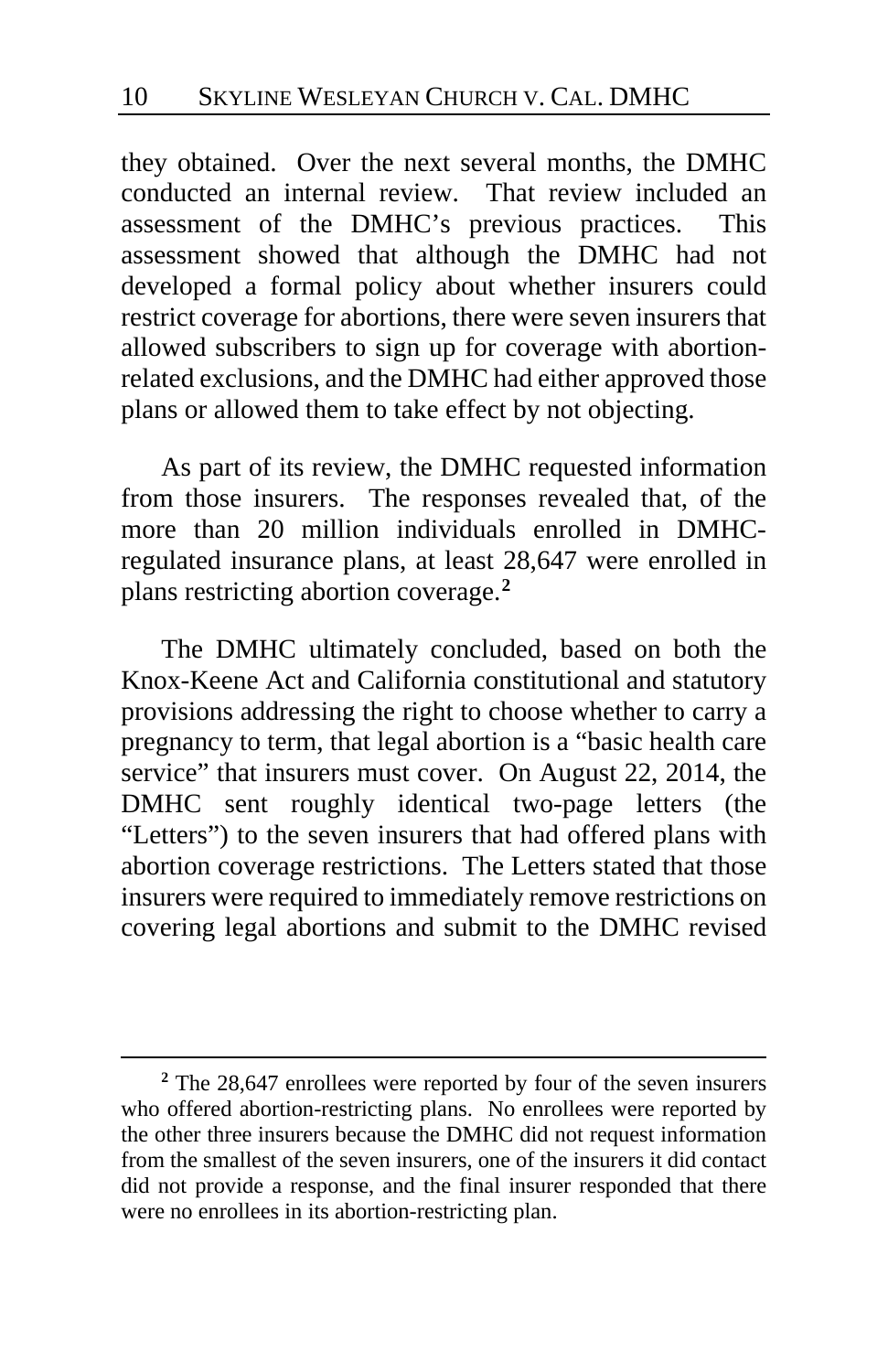they obtained. Over the next several months, the DMHC conducted an internal review. That review included an assessment of the DMHC's previous practices. This assessment showed that although the DMHC had not developed a formal policy about whether insurers could restrict coverage for abortions, there were seven insurers that allowed subscribers to sign up for coverage with abortionrelated exclusions, and the DMHC had either approved those plans or allowed them to take effect by not objecting.

As part of its review, the DMHC requested information from those insurers. The responses revealed that, of the more than 20 million individuals enrolled in DMHCregulated insurance plans, at least 28,647 were enrolled in plans restricting abortion coverage.**[2](#page-9-0)**

The DMHC ultimately concluded, based on both the Knox-Keene Act and California constitutional and statutory provisions addressing the right to choose whether to carry a pregnancy to term, that legal abortion is a "basic health care service" that insurers must cover. On August 22, 2014, the DMHC sent roughly identical two-page letters (the "Letters") to the seven insurers that had offered plans with abortion coverage restrictions. The Letters stated that those insurers were required to immediately remove restrictions on covering legal abortions and submit to the DMHC revised

<span id="page-9-0"></span>**<sup>2</sup>** The 28,647 enrollees were reported by four of the seven insurers who offered abortion-restricting plans. No enrollees were reported by the other three insurers because the DMHC did not request information from the smallest of the seven insurers, one of the insurers it did contact did not provide a response, and the final insurer responded that there were no enrollees in its abortion-restricting plan.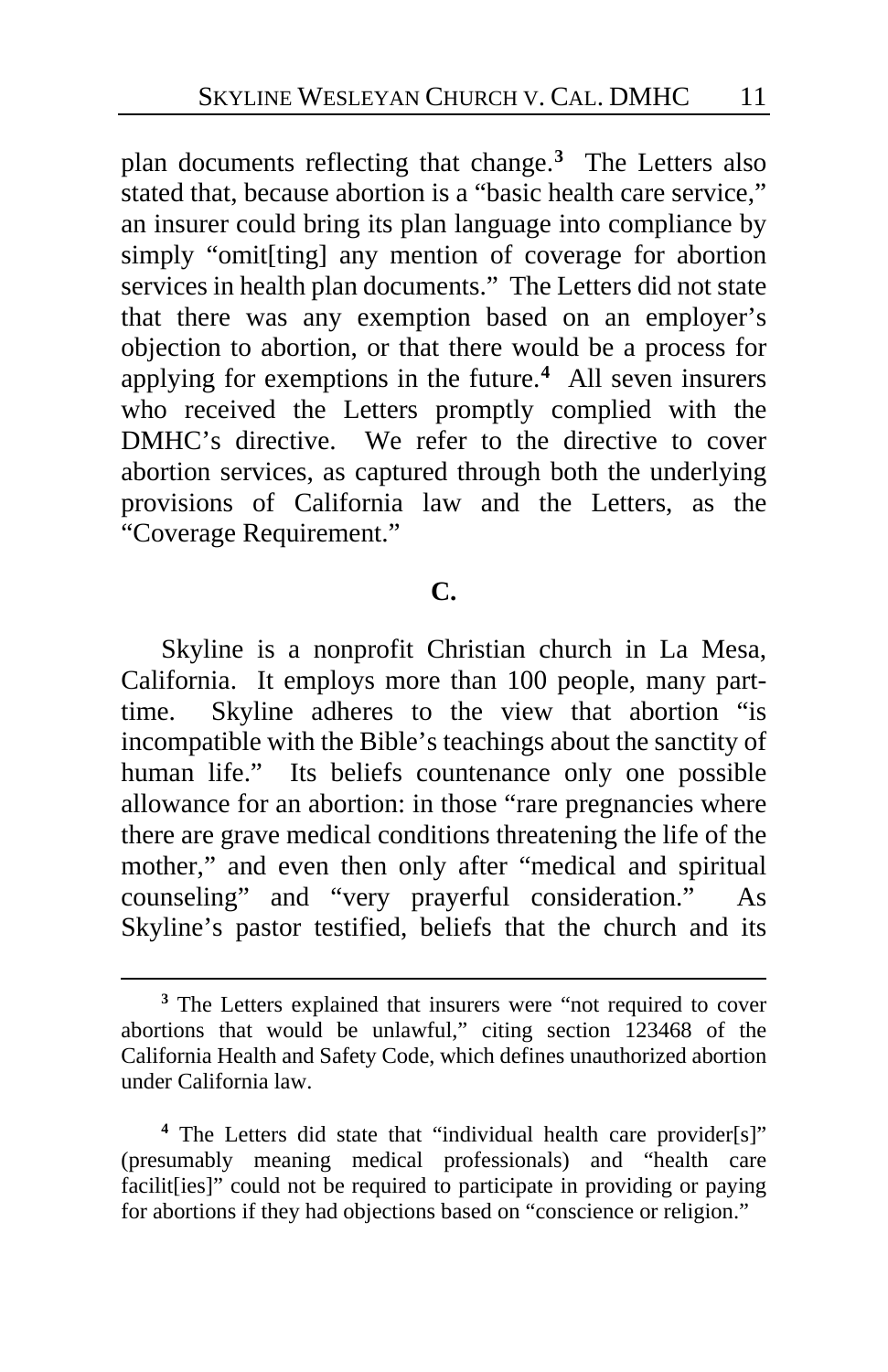plan documents reflecting that change.**[3](#page-10-0)** The Letters also stated that, because abortion is a "basic health care service," an insurer could bring its plan language into compliance by simply "omit[ting] any mention of coverage for abortion services in health plan documents." The Letters did not state that there was any exemption based on an employer's objection to abortion, or that there would be a process for applying for exemptions in the future.**[4](#page-10-1)** All seven insurers who received the Letters promptly complied with the DMHC's directive. We refer to the directive to cover abortion services, as captured through both the underlying provisions of California law and the Letters, as the "Coverage Requirement."

#### **C.**

Skyline is a nonprofit Christian church in La Mesa, California. It employs more than 100 people, many parttime. Skyline adheres to the view that abortion "is incompatible with the Bible's teachings about the sanctity of human life." Its beliefs countenance only one possible allowance for an abortion: in those "rare pregnancies where there are grave medical conditions threatening the life of the mother," and even then only after "medical and spiritual counseling" and "very prayerful consideration." As Skyline's pastor testified, beliefs that the church and its

<span id="page-10-0"></span>**<sup>3</sup>** The Letters explained that insurers were "not required to cover abortions that would be unlawful," citing section 123468 of the California Health and Safety Code, which defines unauthorized abortion under California law.

<span id="page-10-1"></span>**<sup>4</sup>** The Letters did state that "individual health care provider[s]" (presumably meaning medical professionals) and "health care facilit [ies]" could not be required to participate in providing or paying for abortions if they had objections based on "conscience or religion."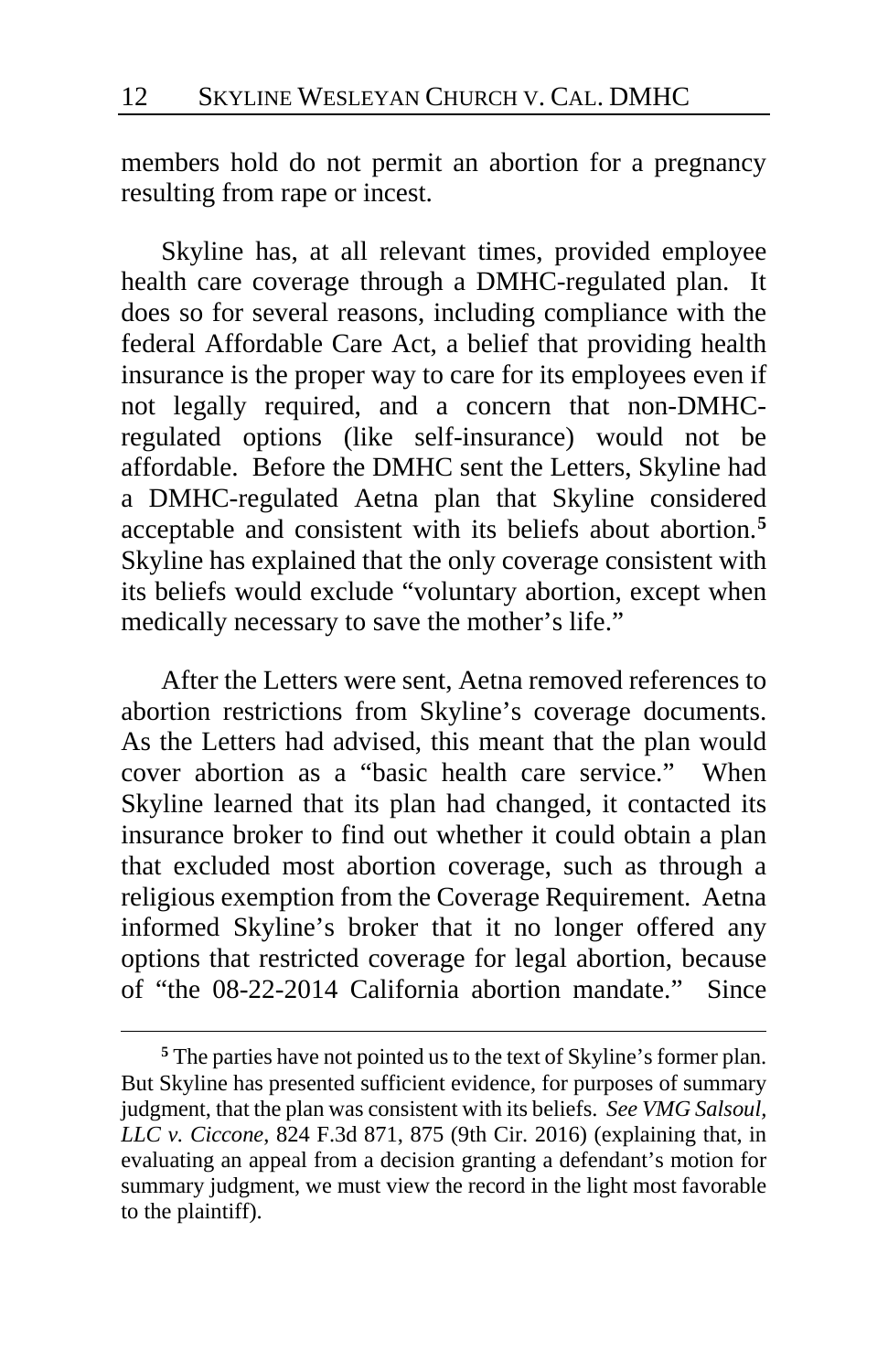members hold do not permit an abortion for a pregnancy resulting from rape or incest.

Skyline has, at all relevant times, provided employee health care coverage through a DMHC-regulated plan. It does so for several reasons, including compliance with the federal Affordable Care Act, a belief that providing health insurance is the proper way to care for its employees even if not legally required, and a concern that non-DMHCregulated options (like self-insurance) would not be affordable. Before the DMHC sent the Letters, Skyline had a DMHC-regulated Aetna plan that Skyline considered acceptable and consistent with its beliefs about abortion.**[5](#page-11-0)** Skyline has explained that the only coverage consistent with its beliefs would exclude "voluntary abortion, except when medically necessary to save the mother's life."

After the Letters were sent, Aetna removed references to abortion restrictions from Skyline's coverage documents. As the Letters had advised, this meant that the plan would cover abortion as a "basic health care service." When Skyline learned that its plan had changed, it contacted its insurance broker to find out whether it could obtain a plan that excluded most abortion coverage, such as through a religious exemption from the Coverage Requirement. Aetna informed Skyline's broker that it no longer offered any options that restricted coverage for legal abortion, because of "the 08-22-2014 California abortion mandate." Since

<span id="page-11-0"></span>**<sup>5</sup>** The parties have not pointed us to the text of Skyline's former plan. But Skyline has presented sufficient evidence, for purposes of summary judgment, that the plan was consistent with its beliefs. *See VMG Salsoul, LLC v. Ciccone*, 824 F.3d 871, 875 (9th Cir. 2016) (explaining that, in evaluating an appeal from a decision granting a defendant's motion for summary judgment, we must view the record in the light most favorable to the plaintiff).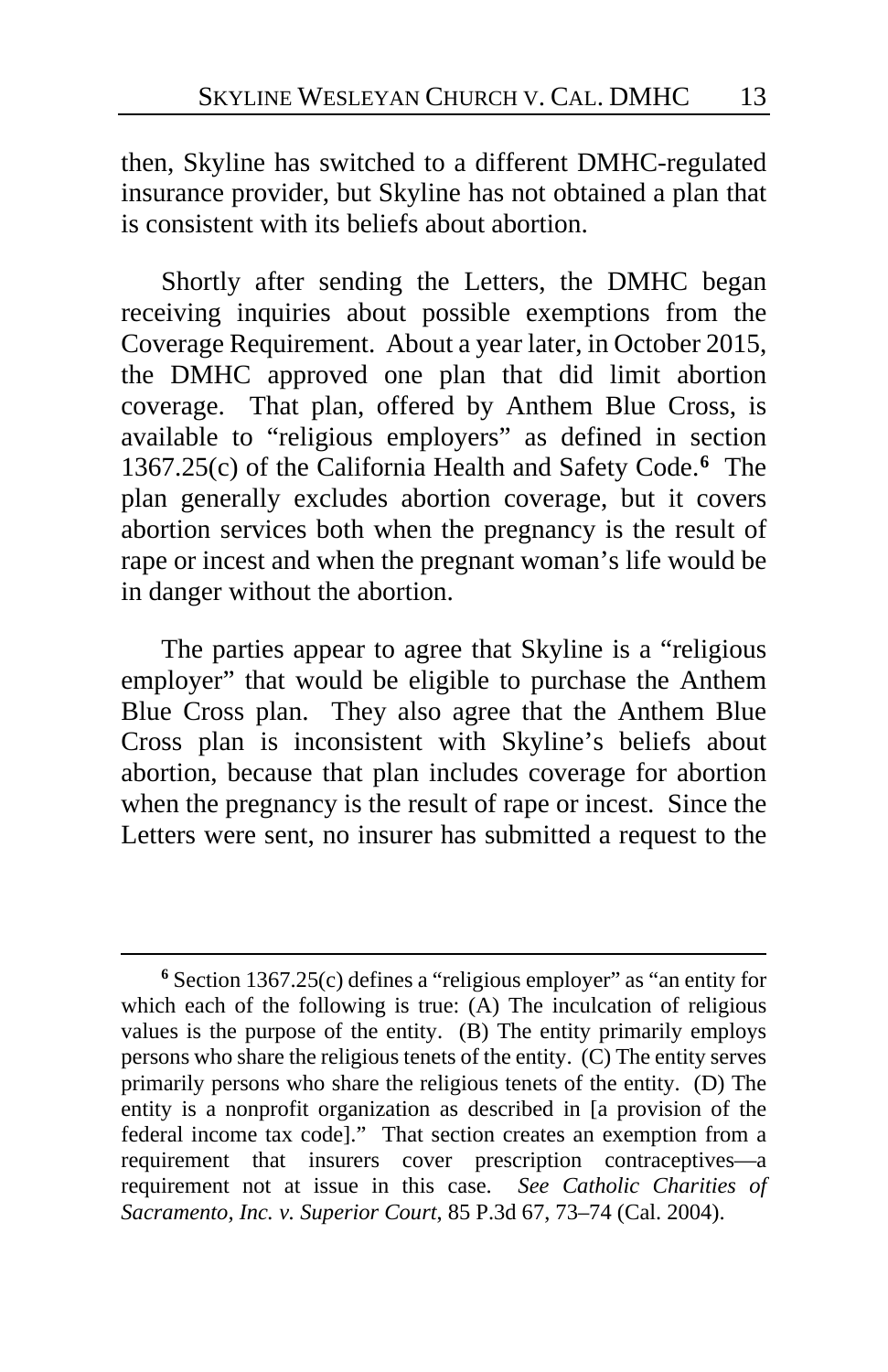then, Skyline has switched to a different DMHC-regulated insurance provider, but Skyline has not obtained a plan that is consistent with its beliefs about abortion.

Shortly after sending the Letters, the DMHC began receiving inquiries about possible exemptions from the Coverage Requirement. About a year later, in October 2015, the DMHC approved one plan that did limit abortion coverage. That plan, offered by Anthem Blue Cross, is available to "religious employers" as defined in section 1367.25(c) of the California Health and Safety Code.**[6](#page-12-0)** The plan generally excludes abortion coverage, but it covers abortion services both when the pregnancy is the result of rape or incest and when the pregnant woman's life would be in danger without the abortion.

The parties appear to agree that Skyline is a "religious employer" that would be eligible to purchase the Anthem Blue Cross plan. They also agree that the Anthem Blue Cross plan is inconsistent with Skyline's beliefs about abortion, because that plan includes coverage for abortion when the pregnancy is the result of rape or incest. Since the Letters were sent, no insurer has submitted a request to the

<span id="page-12-0"></span>**<sup>6</sup>** Section 1367.25(c) defines a "religious employer" as "an entity for which each of the following is true: (A) The inculcation of religious values is the purpose of the entity. (B) The entity primarily employs persons who share the religious tenets of the entity. (C) The entity serves primarily persons who share the religious tenets of the entity. (D) The entity is a nonprofit organization as described in [a provision of the federal income tax code]." That section creates an exemption from a requirement that insurers cover prescription contraceptives—a requirement not at issue in this case. *See Catholic Charities of Sacramento, Inc. v. Superior Court*, 85 P.3d 67, 73–74 (Cal. 2004).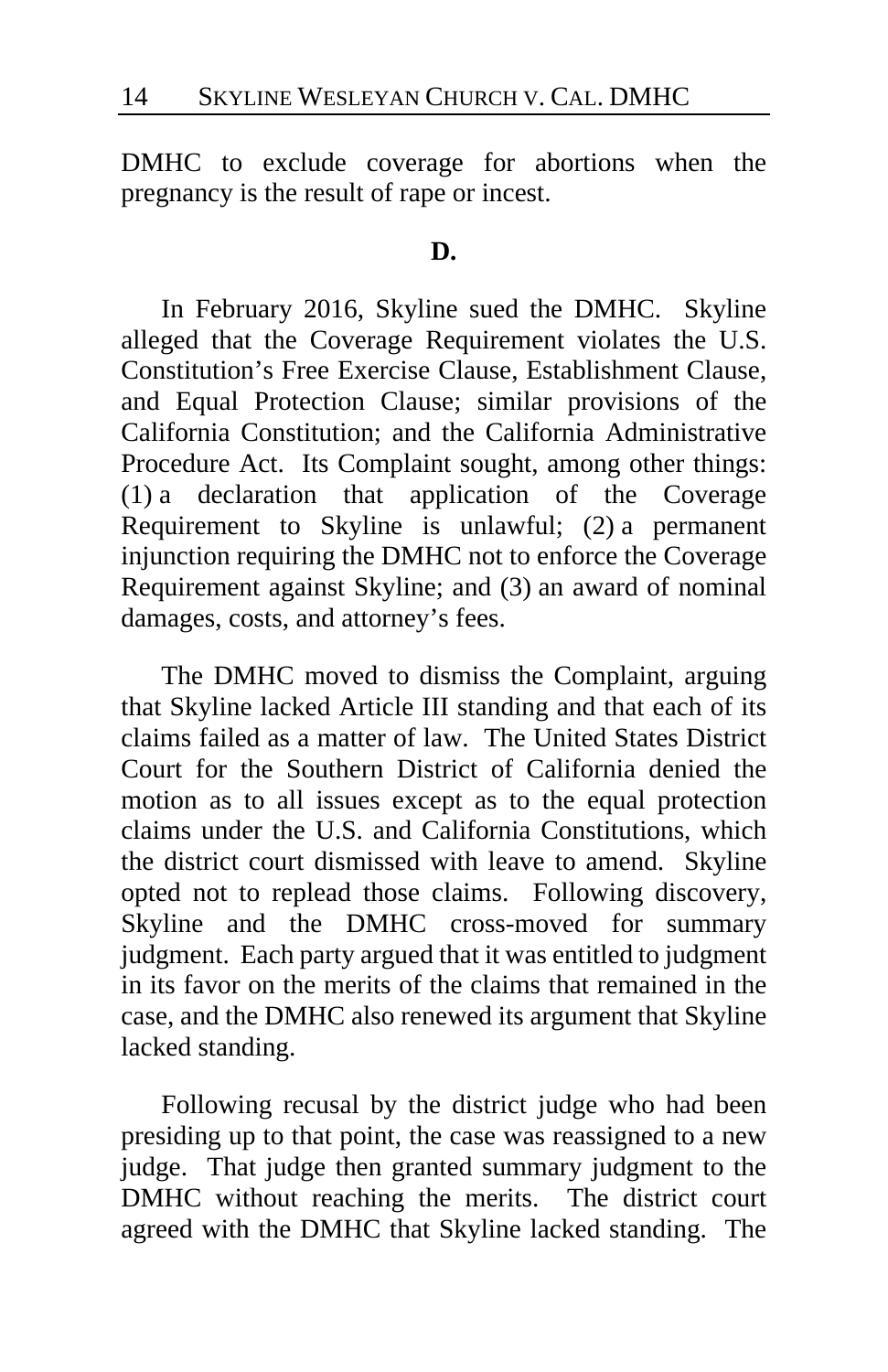DMHC to exclude coverage for abortions when the pregnancy is the result of rape or incest.

#### **D.**

In February 2016, Skyline sued the DMHC. Skyline alleged that the Coverage Requirement violates the U.S. Constitution's Free Exercise Clause, Establishment Clause, and Equal Protection Clause; similar provisions of the California Constitution; and the California Administrative Procedure Act. Its Complaint sought, among other things: (1) a declaration that application of the Coverage Requirement to Skyline is unlawful; (2) a permanent injunction requiring the DMHC not to enforce the Coverage Requirement against Skyline; and (3) an award of nominal damages, costs, and attorney's fees.

The DMHC moved to dismiss the Complaint, arguing that Skyline lacked Article III standing and that each of its claims failed as a matter of law. The United States District Court for the Southern District of California denied the motion as to all issues except as to the equal protection claims under the U.S. and California Constitutions, which the district court dismissed with leave to amend. Skyline opted not to replead those claims. Following discovery, Skyline and the DMHC cross-moved for summary judgment. Each party argued that it was entitled to judgment in its favor on the merits of the claims that remained in the case, and the DMHC also renewed its argument that Skyline lacked standing.

Following recusal by the district judge who had been presiding up to that point, the case was reassigned to a new judge. That judge then granted summary judgment to the DMHC without reaching the merits. The district court agreed with the DMHC that Skyline lacked standing. The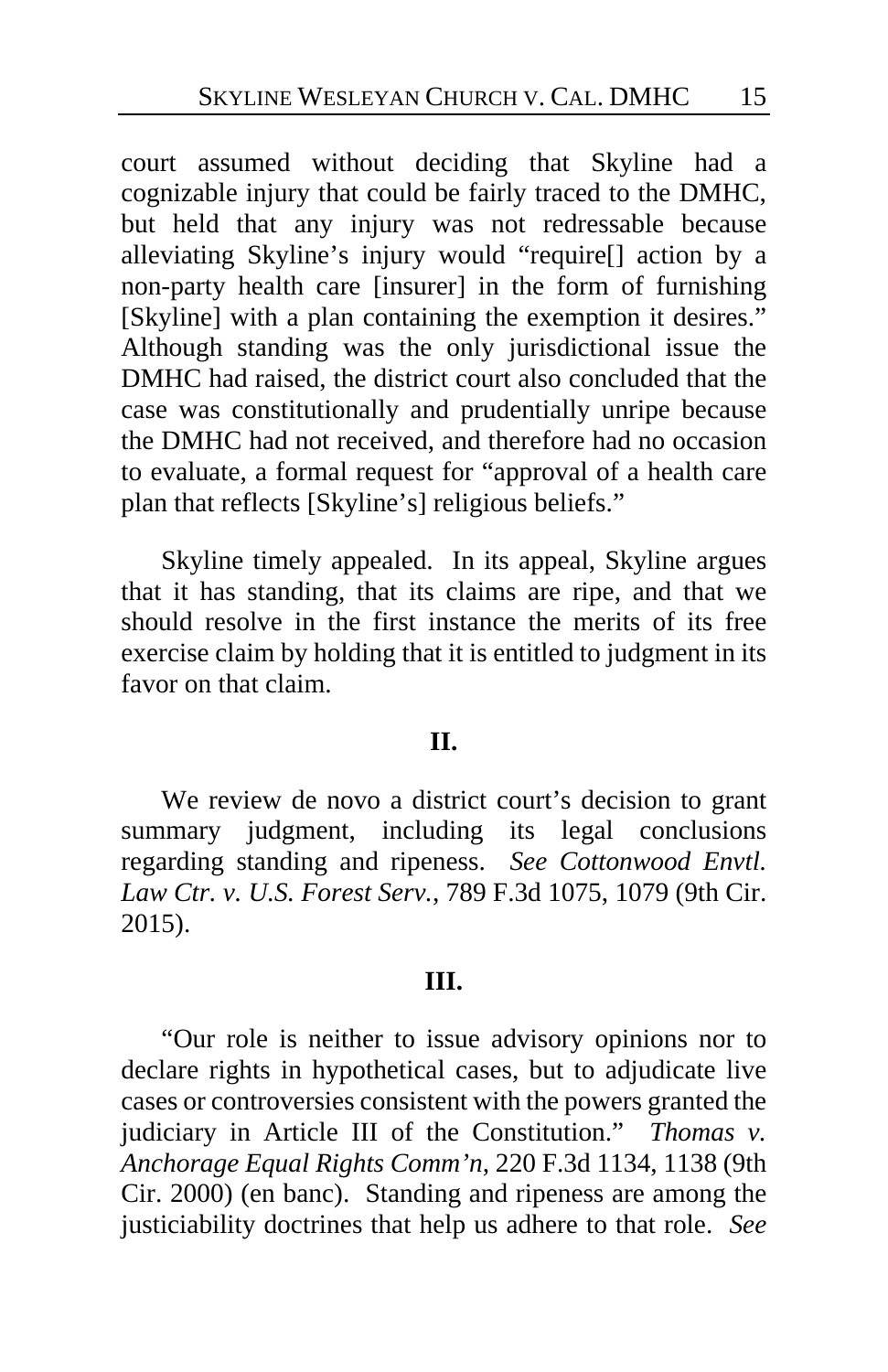court assumed without deciding that Skyline had a cognizable injury that could be fairly traced to the DMHC, but held that any injury was not redressable because alleviating Skyline's injury would "require[] action by a non-party health care [insurer] in the form of furnishing [Skyline] with a plan containing the exemption it desires." Although standing was the only jurisdictional issue the DMHC had raised, the district court also concluded that the case was constitutionally and prudentially unripe because the DMHC had not received, and therefore had no occasion to evaluate, a formal request for "approval of a health care plan that reflects [Skyline's] religious beliefs."

Skyline timely appealed. In its appeal, Skyline argues that it has standing, that its claims are ripe, and that we should resolve in the first instance the merits of its free exercise claim by holding that it is entitled to judgment in its favor on that claim.

# **II.**

We review de novo a district court's decision to grant summary judgment, including its legal conclusions regarding standing and ripeness. *See Cottonwood Envtl. Law Ctr. v. U.S. Forest Serv.*, 789 F.3d 1075, 1079 (9th Cir. 2015).

# **III.**

"Our role is neither to issue advisory opinions nor to declare rights in hypothetical cases, but to adjudicate live cases or controversies consistent with the powers granted the judiciary in Article III of the Constitution." *Thomas v. Anchorage Equal Rights Comm'n*, 220 F.3d 1134, 1138 (9th Cir. 2000) (en banc). Standing and ripeness are among the justiciability doctrines that help us adhere to that role. *See*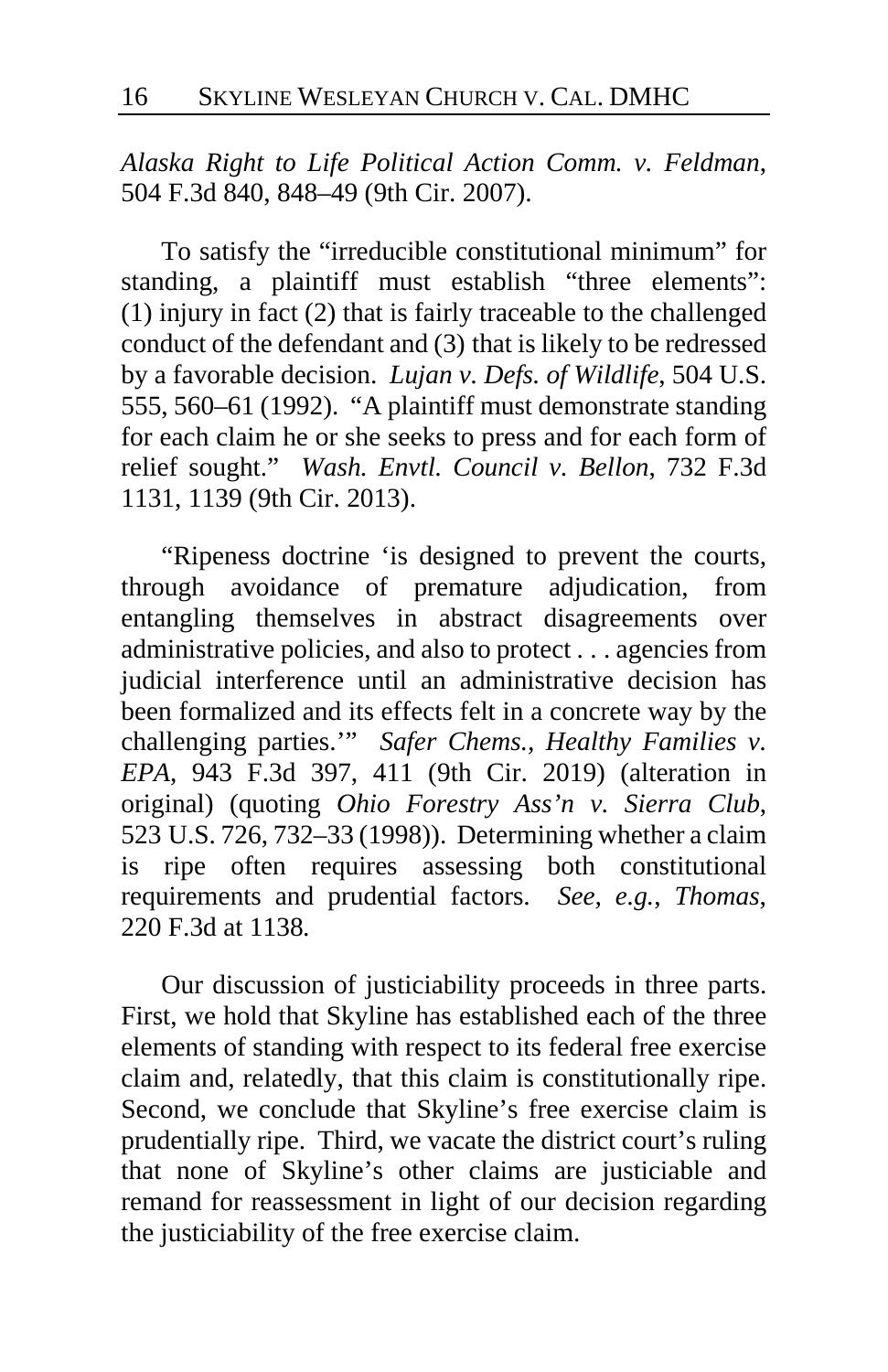*Alaska Right to Life Political Action Comm. v. Feldman*, 504 F.3d 840, 848–49 (9th Cir. 2007).

To satisfy the "irreducible constitutional minimum" for standing, a plaintiff must establish "three elements": (1) injury in fact (2) that is fairly traceable to the challenged conduct of the defendant and (3) that is likely to be redressed by a favorable decision. *Lujan v. Defs. of Wildlife*, 504 U.S. 555, 560–61 (1992). "A plaintiff must demonstrate standing for each claim he or she seeks to press and for each form of relief sought." *Wash. Envtl. Council v. Bellon*, 732 F.3d 1131, 1139 (9th Cir. 2013).

"Ripeness doctrine 'is designed to prevent the courts, through avoidance of premature adjudication, from entangling themselves in abstract disagreements over administrative policies, and also to protect . . . agencies from judicial interference until an administrative decision has been formalized and its effects felt in a concrete way by the challenging parties.'" *Safer Chems., Healthy Families v. EPA*, 943 F.3d 397, 411 (9th Cir. 2019) (alteration in original) (quoting *Ohio Forestry Ass'n v. Sierra Club*, 523 U.S. 726, 732–33 (1998)). Determining whether a claim is ripe often requires assessing both constitutional requirements and prudential factors. *See, e.g.*, *Thomas*, 220 F.3d at 1138*.*

Our discussion of justiciability proceeds in three parts. First, we hold that Skyline has established each of the three elements of standing with respect to its federal free exercise claim and, relatedly, that this claim is constitutionally ripe. Second, we conclude that Skyline's free exercise claim is prudentially ripe. Third, we vacate the district court's ruling that none of Skyline's other claims are justiciable and remand for reassessment in light of our decision regarding the justiciability of the free exercise claim.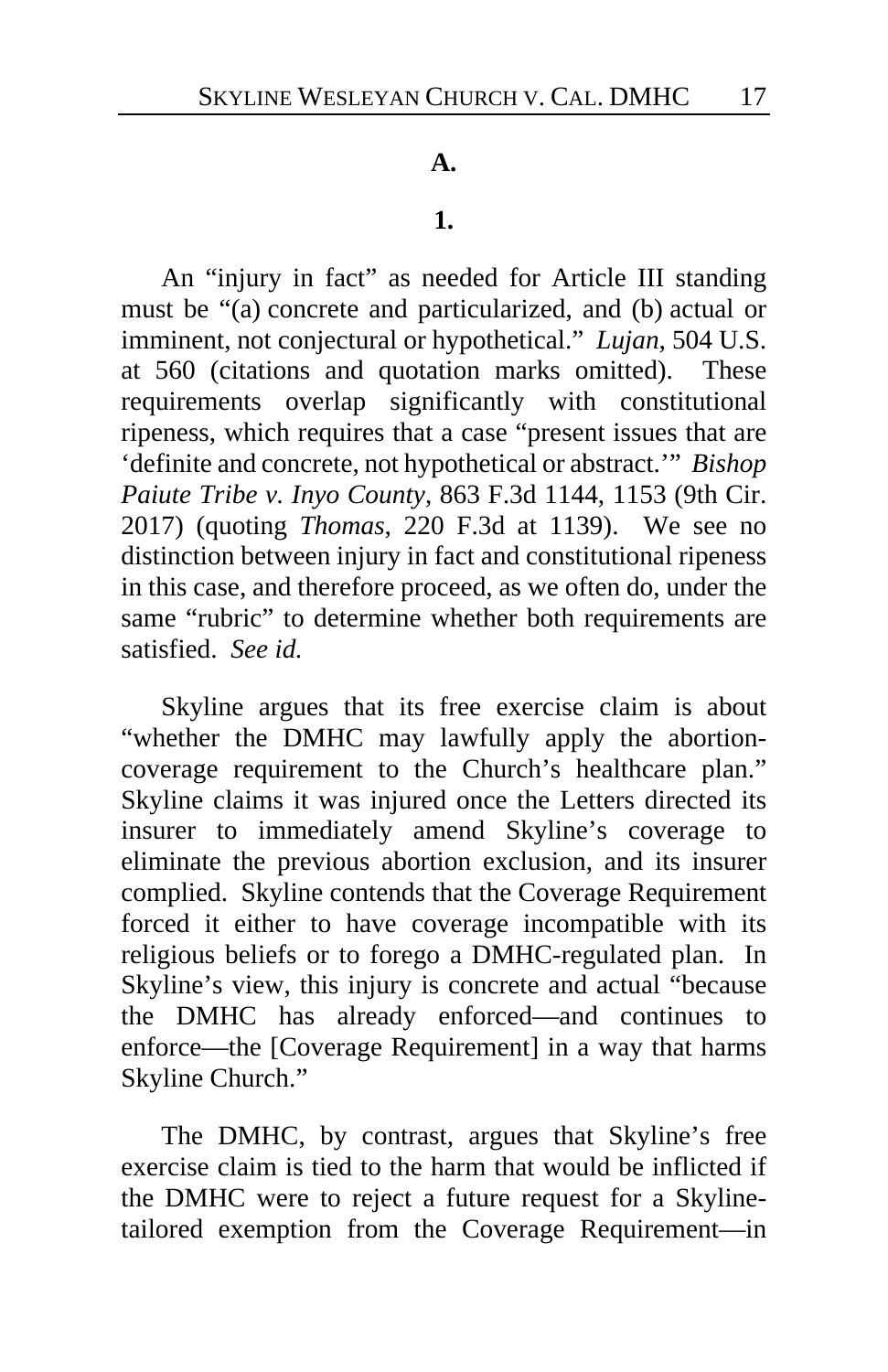#### **A.**

#### **1.**

An "injury in fact" as needed for Article III standing must be "(a) concrete and particularized, and (b) actual or imminent, not conjectural or hypothetical." *Lujan*, 504 U.S. at 560 (citations and quotation marks omitted). These requirements overlap significantly with constitutional ripeness, which requires that a case "present issues that are 'definite and concrete, not hypothetical or abstract.'" *Bishop Paiute Tribe v. Inyo County*, 863 F.3d 1144, 1153 (9th Cir. 2017) (quoting *Thomas*, 220 F.3d at 1139). We see no distinction between injury in fact and constitutional ripeness in this case, and therefore proceed, as we often do, under the same "rubric" to determine whether both requirements are satisfied. *See id.*

Skyline argues that its free exercise claim is about "whether the DMHC may lawfully apply the abortioncoverage requirement to the Church's healthcare plan." Skyline claims it was injured once the Letters directed its insurer to immediately amend Skyline's coverage to eliminate the previous abortion exclusion, and its insurer complied. Skyline contends that the Coverage Requirement forced it either to have coverage incompatible with its religious beliefs or to forego a DMHC-regulated plan. In Skyline's view, this injury is concrete and actual "because the DMHC has already enforced—and continues to enforce—the [Coverage Requirement] in a way that harms Skyline Church."

The DMHC, by contrast, argues that Skyline's free exercise claim is tied to the harm that would be inflicted if the DMHC were to reject a future request for a Skylinetailored exemption from the Coverage Requirement—in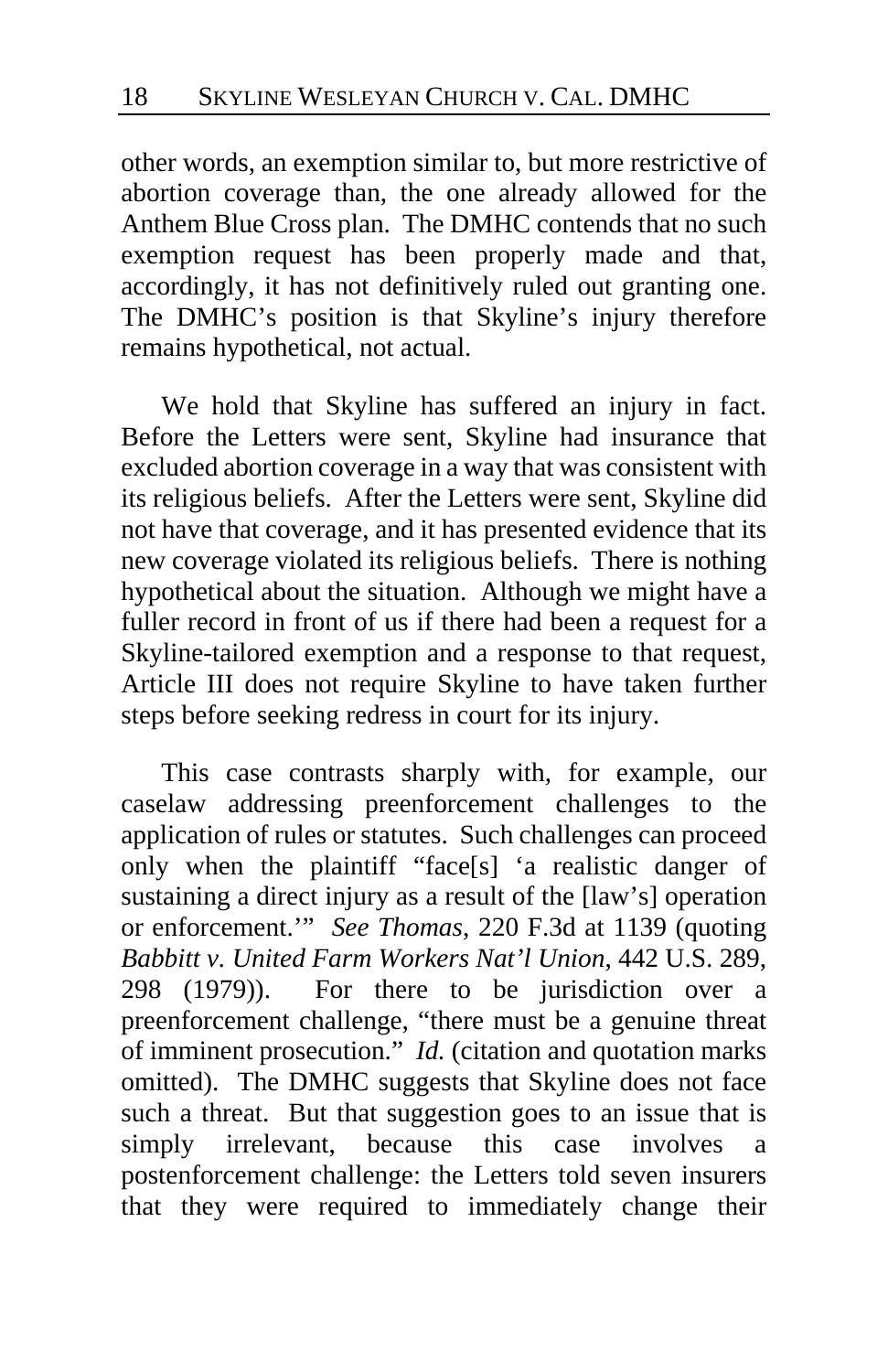other words, an exemption similar to, but more restrictive of abortion coverage than, the one already allowed for the Anthem Blue Cross plan. The DMHC contends that no such exemption request has been properly made and that, accordingly, it has not definitively ruled out granting one. The DMHC's position is that Skyline's injury therefore remains hypothetical, not actual.

We hold that Skyline has suffered an injury in fact. Before the Letters were sent, Skyline had insurance that excluded abortion coverage in a way that was consistent with its religious beliefs. After the Letters were sent, Skyline did not have that coverage, and it has presented evidence that its new coverage violated its religious beliefs. There is nothing hypothetical about the situation. Although we might have a fuller record in front of us if there had been a request for a Skyline-tailored exemption and a response to that request, Article III does not require Skyline to have taken further steps before seeking redress in court for its injury.

This case contrasts sharply with, for example, our caselaw addressing preenforcement challenges to the application of rules or statutes. Such challenges can proceed only when the plaintiff "face[s] 'a realistic danger of sustaining a direct injury as a result of the [law's] operation or enforcement.'" *See Thomas*, 220 F.3d at 1139 (quoting *Babbitt v. United Farm Workers Nat'l Union*, 442 U.S. 289, 298 (1979)). For there to be jurisdiction over a preenforcement challenge, "there must be a genuine threat of imminent prosecution." *Id.* (citation and quotation marks omitted). The DMHC suggests that Skyline does not face such a threat. But that suggestion goes to an issue that is simply irrelevant, because this case involves a postenforcement challenge: the Letters told seven insurers that they were required to immediately change their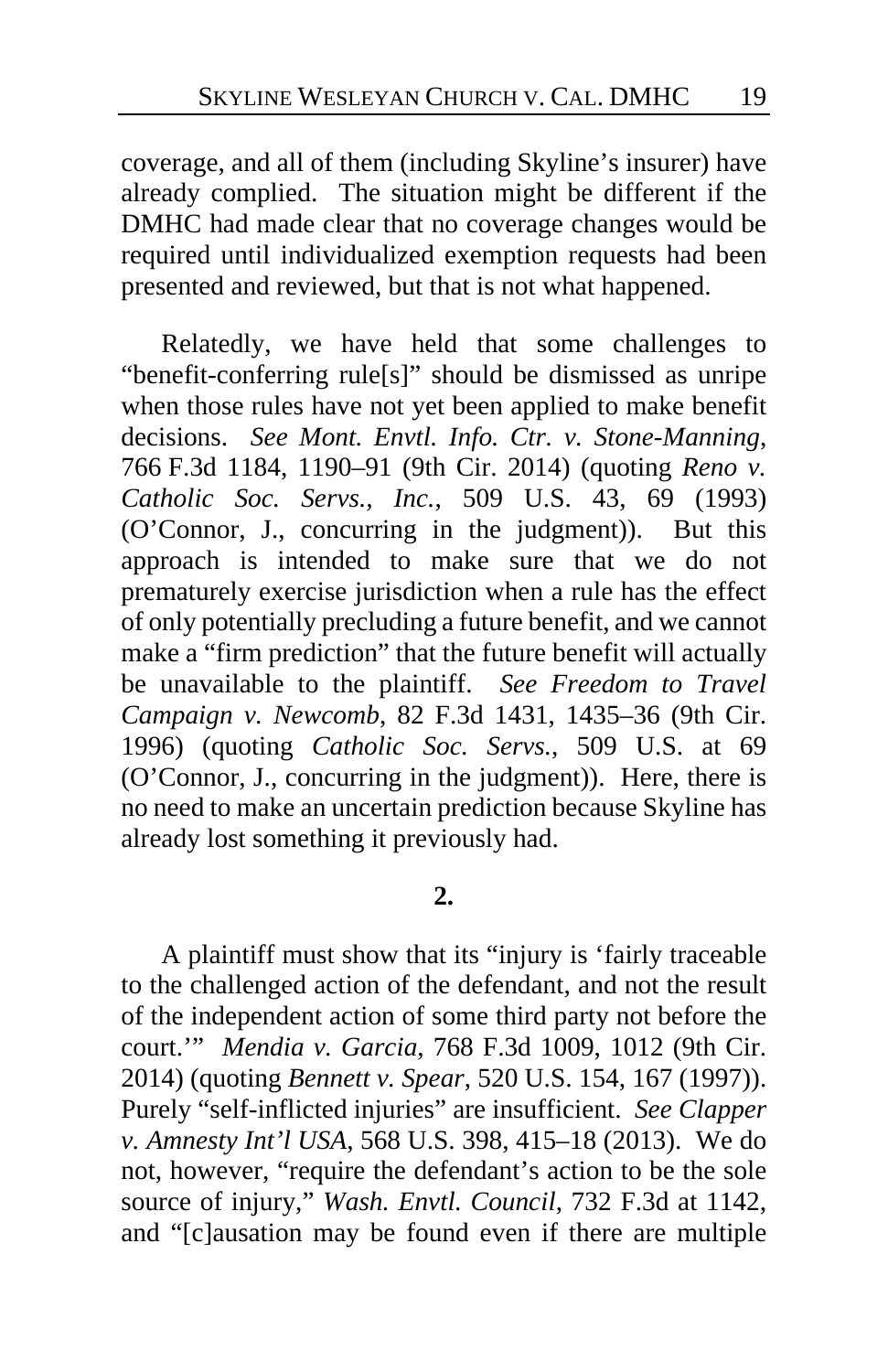coverage, and all of them (including Skyline's insurer) have already complied. The situation might be different if the DMHC had made clear that no coverage changes would be required until individualized exemption requests had been presented and reviewed, but that is not what happened.

Relatedly, we have held that some challenges to "benefit-conferring rule[s]" should be dismissed as unripe when those rules have not yet been applied to make benefit decisions. *See Mont. Envtl. Info. Ctr. v. Stone-Manning*, 766 F.3d 1184, 1190–91 (9th Cir. 2014) (quoting *Reno v. Catholic Soc. Servs., Inc.*, 509 U.S. 43, 69 (1993) (O'Connor, J., concurring in the judgment)). But this approach is intended to make sure that we do not prematurely exercise jurisdiction when a rule has the effect of only potentially precluding a future benefit, and we cannot make a "firm prediction" that the future benefit will actually be unavailable to the plaintiff. *See Freedom to Travel Campaign v. Newcomb*, 82 F.3d 1431, 1435–36 (9th Cir. 1996) (quoting *Catholic Soc. Servs.*, 509 U.S. at 69 (O'Connor, J., concurring in the judgment)). Here, there is no need to make an uncertain prediction because Skyline has already lost something it previously had.

# **2.**

A plaintiff must show that its "injury is 'fairly traceable to the challenged action of the defendant, and not the result of the independent action of some third party not before the court.'" *Mendia v. Garcia*, 768 F.3d 1009, 1012 (9th Cir. 2014) (quoting *Bennett v. Spear*, 520 U.S. 154, 167 (1997)). Purely "self-inflicted injuries" are insufficient. *See Clapper v. Amnesty Int'l USA*, 568 U.S. 398, 415–18 (2013). We do not, however, "require the defendant's action to be the sole source of injury," *Wash. Envtl. Council*, 732 F.3d at 1142, and "[c]ausation may be found even if there are multiple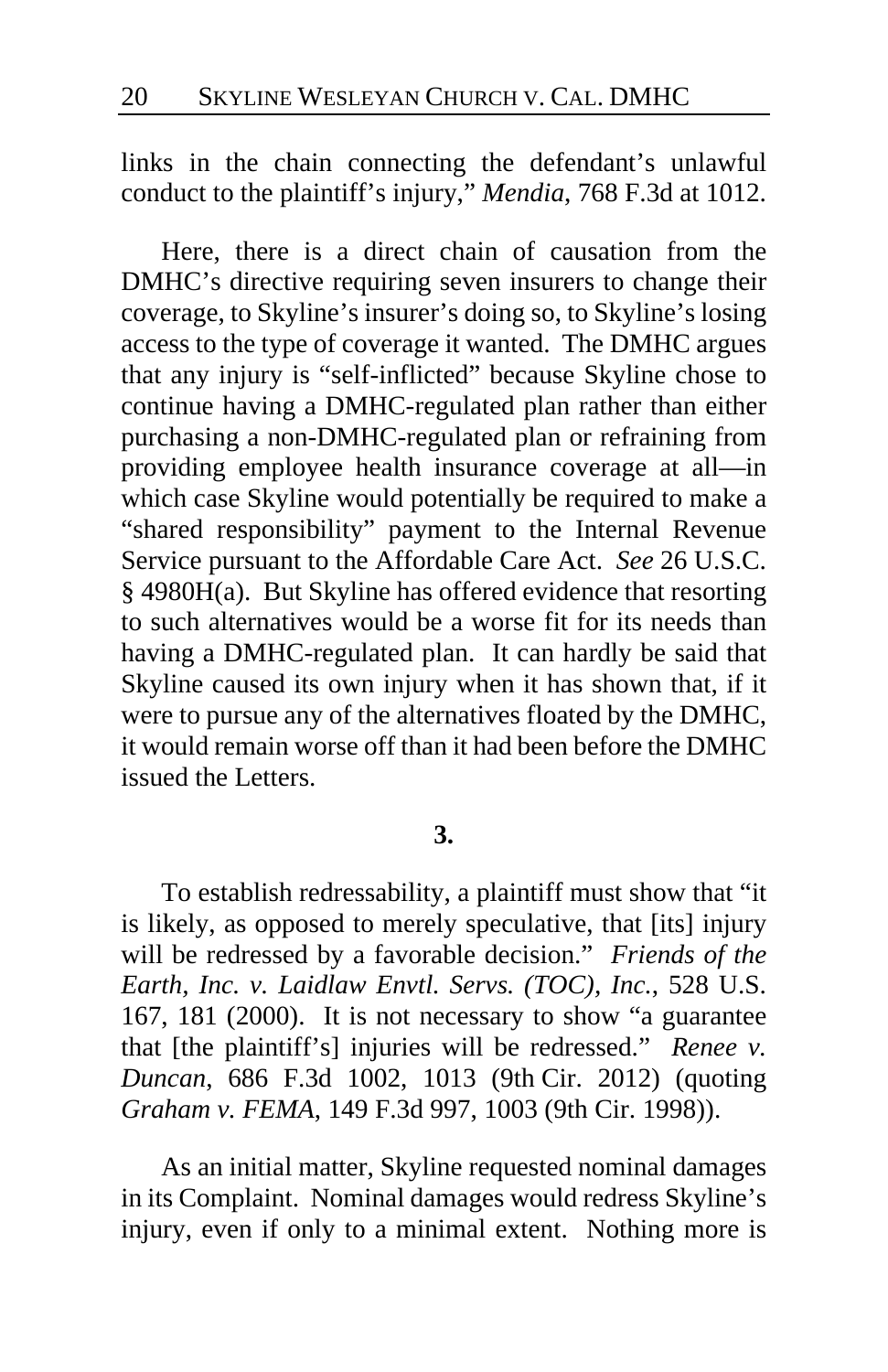links in the chain connecting the defendant's unlawful conduct to the plaintiff's injury," *Mendia*, 768 F.3d at 1012.

Here, there is a direct chain of causation from the DMHC's directive requiring seven insurers to change their coverage, to Skyline's insurer's doing so, to Skyline's losing access to the type of coverage it wanted. The DMHC argues that any injury is "self-inflicted" because Skyline chose to continue having a DMHC-regulated plan rather than either purchasing a non-DMHC-regulated plan or refraining from providing employee health insurance coverage at all—in which case Skyline would potentially be required to make a "shared responsibility" payment to the Internal Revenue Service pursuant to the Affordable Care Act. *See* 26 U.S.C. § 4980H(a). But Skyline has offered evidence that resorting to such alternatives would be a worse fit for its needs than having a DMHC-regulated plan. It can hardly be said that Skyline caused its own injury when it has shown that, if it were to pursue any of the alternatives floated by the DMHC, it would remain worse off than it had been before the DMHC issued the Letters.

# **3.**

To establish redressability, a plaintiff must show that "it is likely, as opposed to merely speculative, that [its] injury will be redressed by a favorable decision." *Friends of the Earth, Inc. v. Laidlaw Envtl. Servs. (TOC), Inc.*, 528 U.S. 167, 181 (2000). It is not necessary to show "a guarantee that [the plaintiff's] injuries will be redressed." *Renee v. Duncan*, 686 F.3d 1002, 1013 (9th Cir. 2012) (quoting *Graham v. FEMA*, 149 F.3d 997, 1003 (9th Cir. 1998)).

As an initial matter, Skyline requested nominal damages in its Complaint. Nominal damages would redress Skyline's injury, even if only to a minimal extent. Nothing more is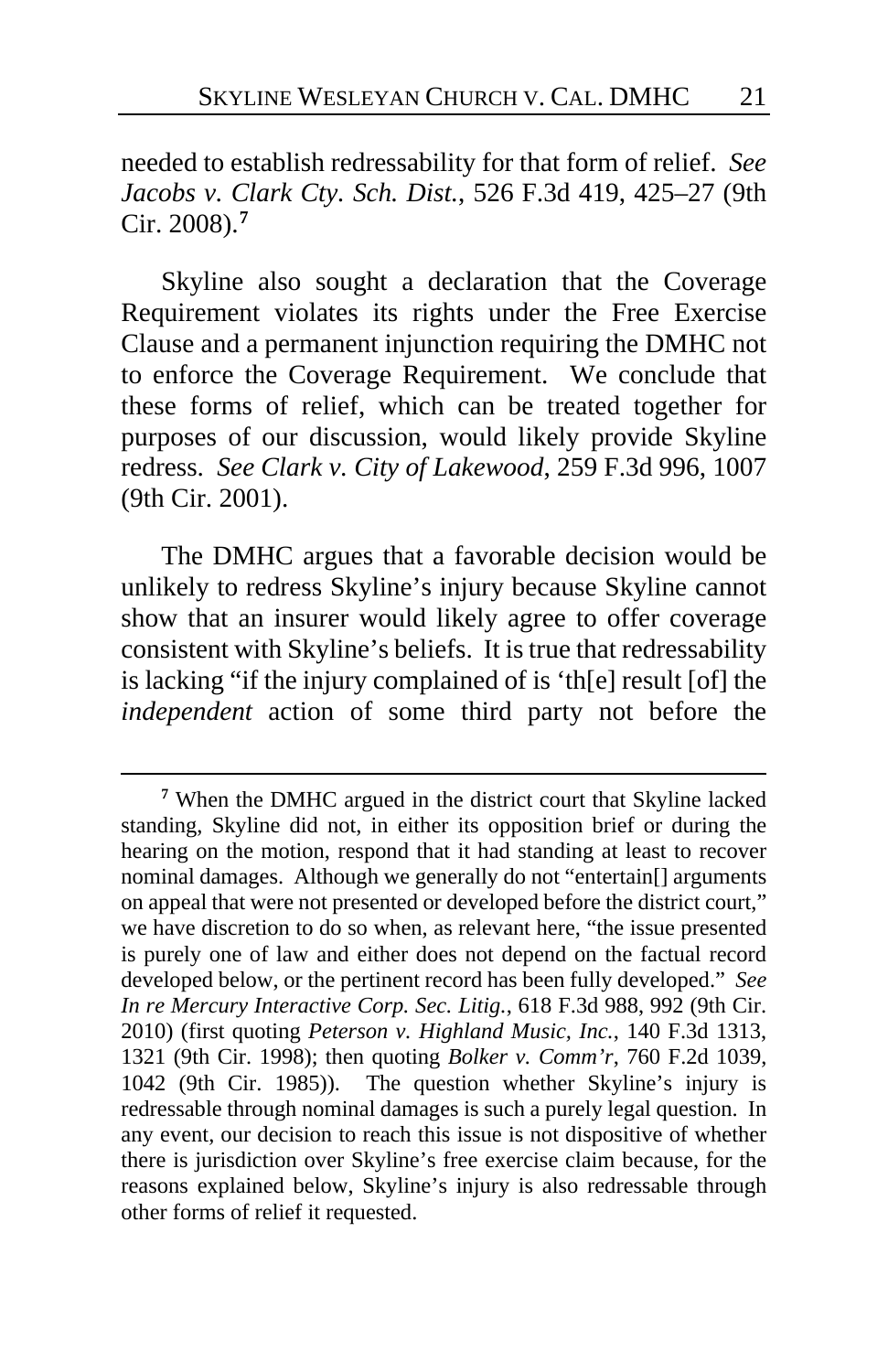needed to establish redressability for that form of relief. *See Jacobs v. Clark Cty. Sch. Dist.*, 526 F.3d 419, 425–27 (9th Cir. 2008).**[7](#page-20-0)**

Skyline also sought a declaration that the Coverage Requirement violates its rights under the Free Exercise Clause and a permanent injunction requiring the DMHC not to enforce the Coverage Requirement. We conclude that these forms of relief, which can be treated together for purposes of our discussion, would likely provide Skyline redress. *See Clark v. City of Lakewood*, 259 F.3d 996, 1007 (9th Cir. 2001).

The DMHC argues that a favorable decision would be unlikely to redress Skyline's injury because Skyline cannot show that an insurer would likely agree to offer coverage consistent with Skyline's beliefs. It is true that redressability is lacking "if the injury complained of is 'th[e] result [of] the *independent* action of some third party not before the

<span id="page-20-0"></span>**<sup>7</sup>** When the DMHC argued in the district court that Skyline lacked standing, Skyline did not, in either its opposition brief or during the hearing on the motion, respond that it had standing at least to recover nominal damages. Although we generally do not "entertain[] arguments on appeal that were not presented or developed before the district court," we have discretion to do so when, as relevant here, "the issue presented is purely one of law and either does not depend on the factual record developed below, or the pertinent record has been fully developed." *See In re Mercury Interactive Corp. Sec. Litig.*, 618 F.3d 988, 992 (9th Cir. 2010) (first quoting *Peterson v. Highland Music, Inc.*, 140 F.3d 1313, 1321 (9th Cir. 1998); then quoting *Bolker v. Comm'r*, 760 F.2d 1039, 1042 (9th Cir. 1985)). The question whether Skyline's injury is redressable through nominal damages is such a purely legal question. In any event, our decision to reach this issue is not dispositive of whether there is jurisdiction over Skyline's free exercise claim because, for the reasons explained below, Skyline's injury is also redressable through other forms of relief it requested.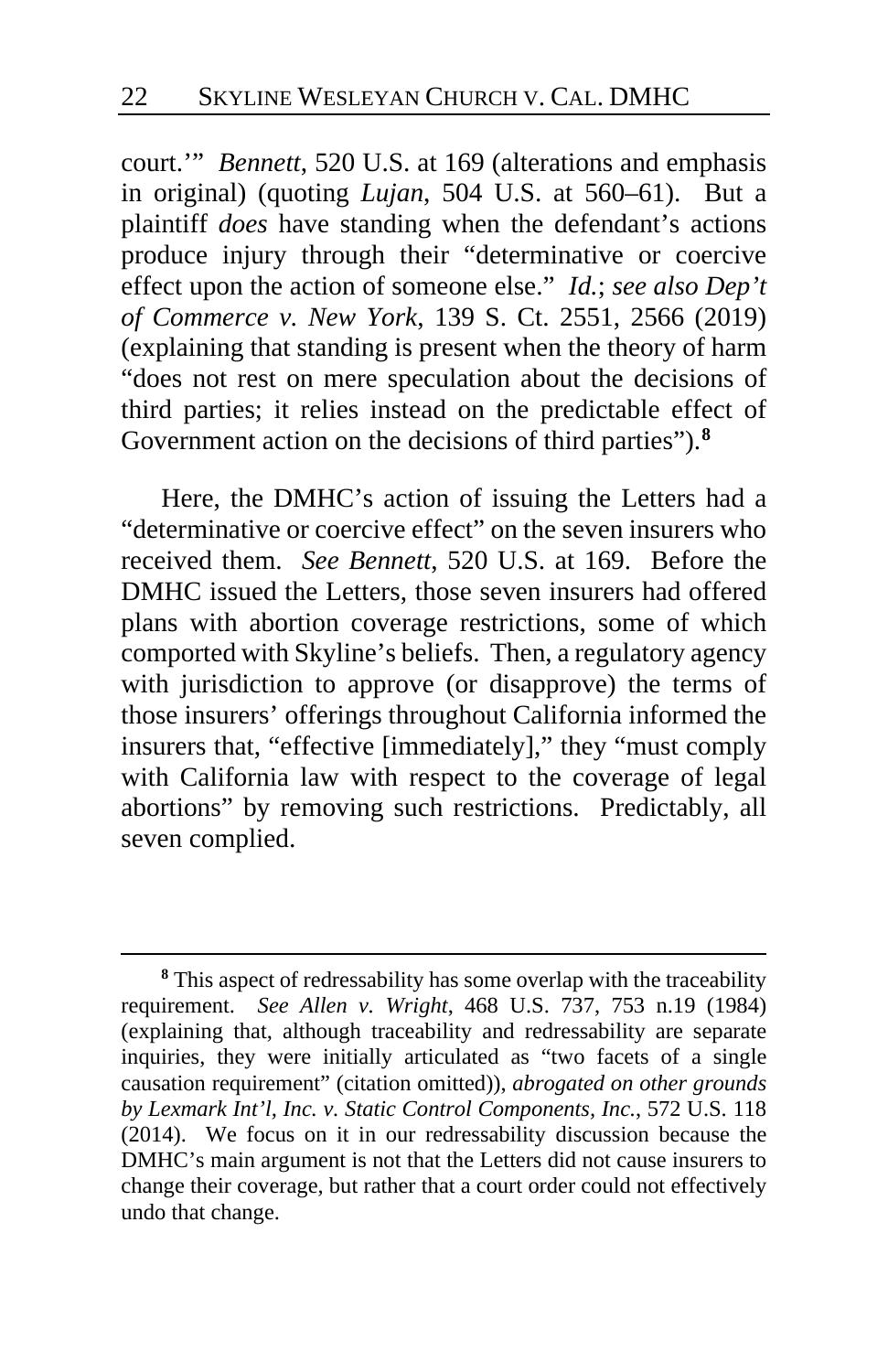court.'" *Bennett*, 520 U.S. at 169 (alterations and emphasis in original) (quoting *Lujan*, 504 U.S. at 560–61). But a plaintiff *does* have standing when the defendant's actions produce injury through their "determinative or coercive effect upon the action of someone else." *Id.*; *see also Dep't of Commerce v. New York*, 139 S. Ct. 2551, 2566 (2019) (explaining that standing is present when the theory of harm "does not rest on mere speculation about the decisions of third parties; it relies instead on the predictable effect of Government action on the decisions of third parties").**[8](#page-21-0)**

Here, the DMHC's action of issuing the Letters had a "determinative or coercive effect" on the seven insurers who received them. *See Bennett*, 520 U.S. at 169. Before the DMHC issued the Letters, those seven insurers had offered plans with abortion coverage restrictions, some of which comported with Skyline's beliefs. Then, a regulatory agency with jurisdiction to approve (or disapprove) the terms of those insurers' offerings throughout California informed the insurers that, "effective [immediately]," they "must comply with California law with respect to the coverage of legal abortions" by removing such restrictions. Predictably, all seven complied.

<span id="page-21-0"></span>**<sup>8</sup>** This aspect of redressability has some overlap with the traceability requirement. *See Allen v. Wright*, 468 U.S. 737, 753 n.19 (1984) (explaining that, although traceability and redressability are separate inquiries, they were initially articulated as "two facets of a single causation requirement" (citation omitted)), *abrogated on other grounds by Lexmark Int'l, Inc. v. Static Control Components, Inc.*, 572 U.S. 118 (2014). We focus on it in our redressability discussion because the DMHC's main argument is not that the Letters did not cause insurers to change their coverage, but rather that a court order could not effectively undo that change.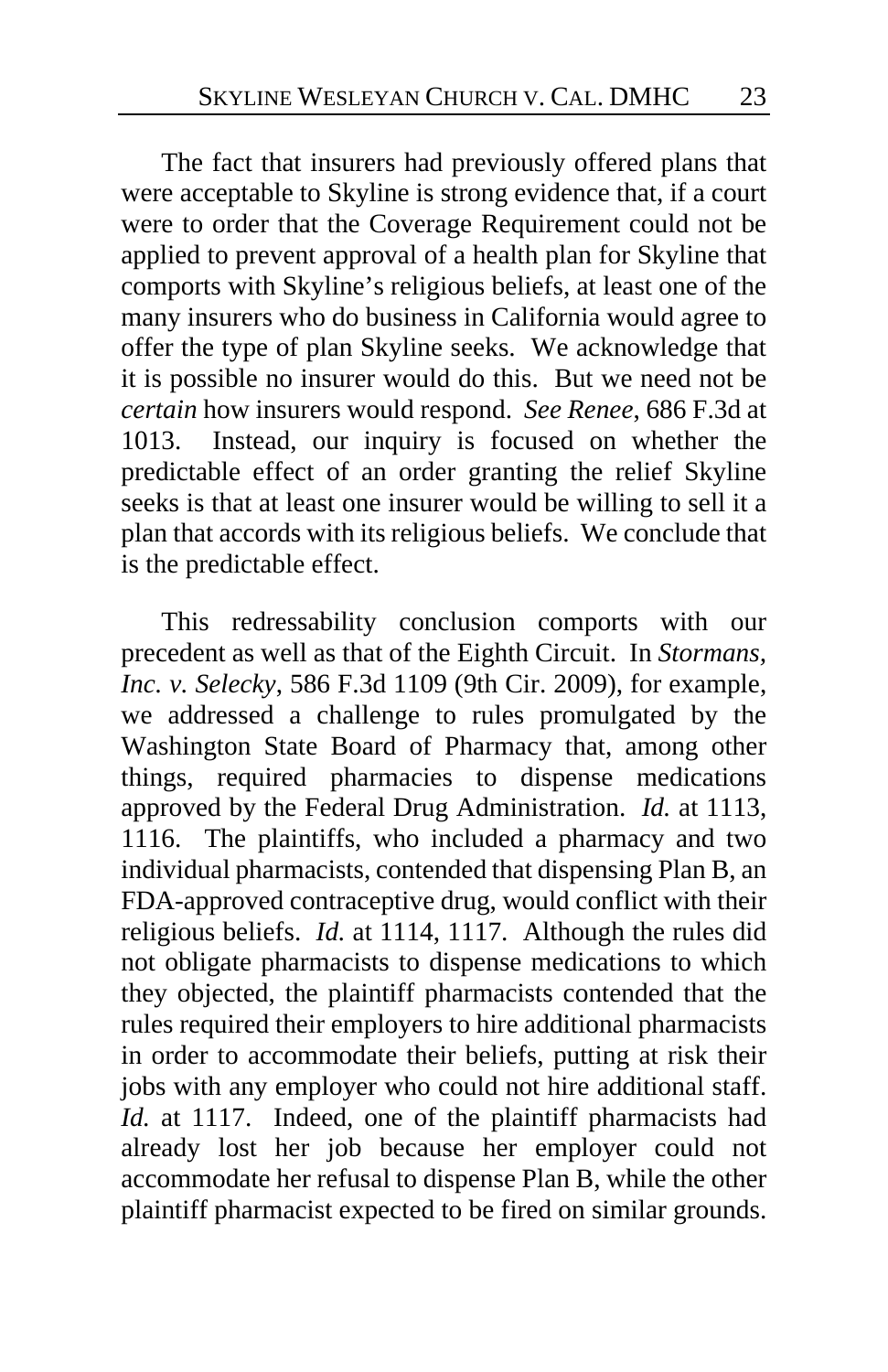The fact that insurers had previously offered plans that were acceptable to Skyline is strong evidence that, if a court were to order that the Coverage Requirement could not be applied to prevent approval of a health plan for Skyline that comports with Skyline's religious beliefs, at least one of the many insurers who do business in California would agree to offer the type of plan Skyline seeks. We acknowledge that it is possible no insurer would do this. But we need not be *certain* how insurers would respond. *See Renee*, 686 F.3d at 1013. Instead, our inquiry is focused on whether the predictable effect of an order granting the relief Skyline seeks is that at least one insurer would be willing to sell it a plan that accords with its religious beliefs. We conclude that is the predictable effect.

This redressability conclusion comports with our precedent as well as that of the Eighth Circuit. In *Stormans, Inc. v. Selecky*, 586 F.3d 1109 (9th Cir. 2009), for example, we addressed a challenge to rules promulgated by the Washington State Board of Pharmacy that, among other things, required pharmacies to dispense medications approved by the Federal Drug Administration. *Id.* at 1113, 1116. The plaintiffs, who included a pharmacy and two individual pharmacists, contended that dispensing Plan B, an FDA-approved contraceptive drug, would conflict with their religious beliefs. *Id.* at 1114, 1117. Although the rules did not obligate pharmacists to dispense medications to which they objected, the plaintiff pharmacists contended that the rules required their employers to hire additional pharmacists in order to accommodate their beliefs, putting at risk their jobs with any employer who could not hire additional staff. *Id.* at 1117. Indeed, one of the plaintiff pharmacists had already lost her job because her employer could not accommodate her refusal to dispense Plan B, while the other plaintiff pharmacist expected to be fired on similar grounds.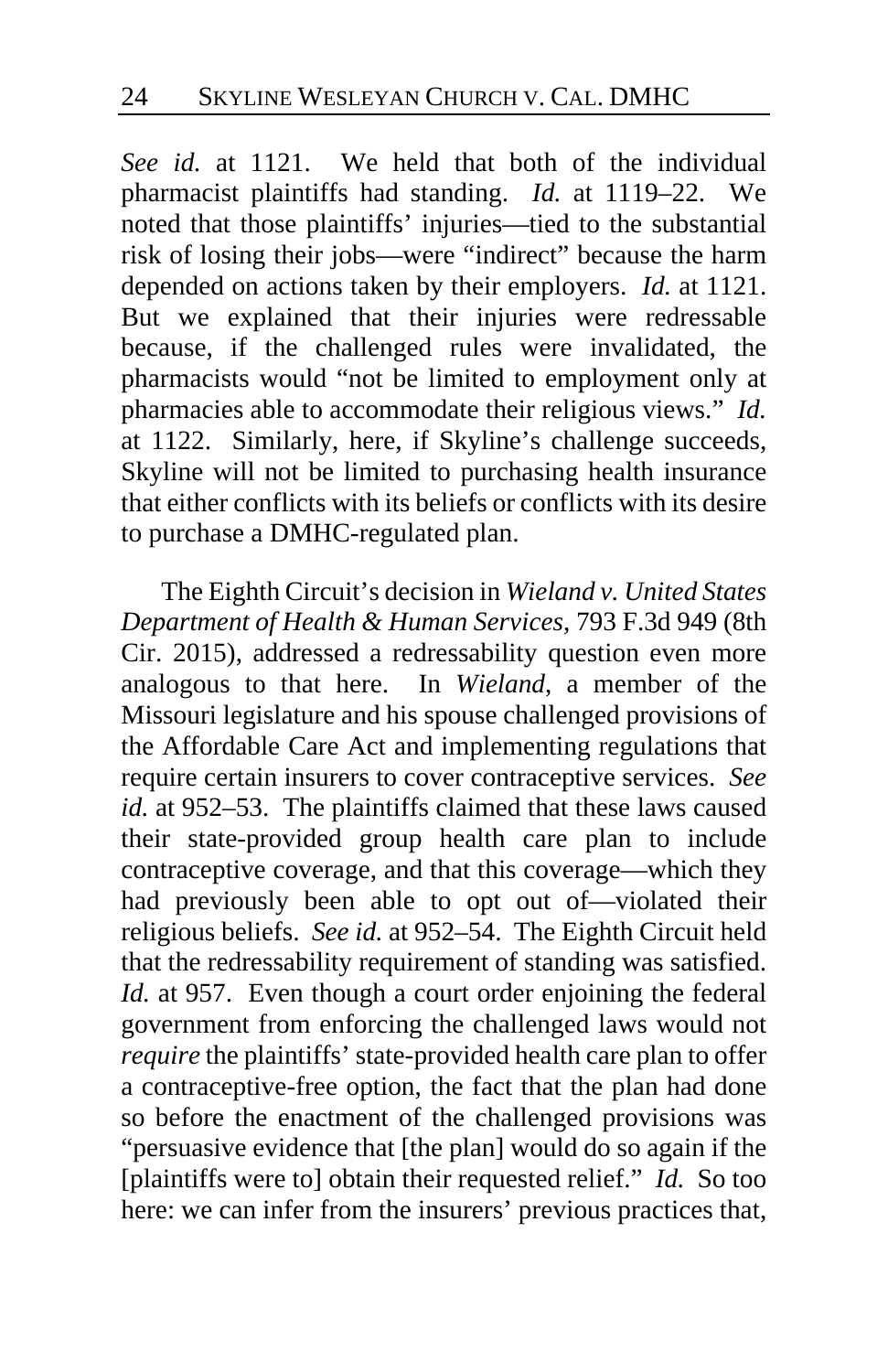*See id.* at 1121. We held that both of the individual pharmacist plaintiffs had standing. *Id.* at 1119–22. We noted that those plaintiffs' injuries—tied to the substantial risk of losing their jobs—were "indirect" because the harm depended on actions taken by their employers. *Id.* at 1121. But we explained that their injuries were redressable because, if the challenged rules were invalidated, the pharmacists would "not be limited to employment only at pharmacies able to accommodate their religious views." *Id.*  at 1122. Similarly, here, if Skyline's challenge succeeds, Skyline will not be limited to purchasing health insurance that either conflicts with its beliefs or conflicts with its desire to purchase a DMHC-regulated plan.

The Eighth Circuit's decision in *Wieland v. United States Department of Health & Human Services*, 793 F.3d 949 (8th Cir. 2015), addressed a redressability question even more analogous to that here. In *Wieland*, a member of the Missouri legislature and his spouse challenged provisions of the Affordable Care Act and implementing regulations that require certain insurers to cover contraceptive services. *See id.* at 952–53. The plaintiffs claimed that these laws caused their state-provided group health care plan to include contraceptive coverage, and that this coverage—which they had previously been able to opt out of—violated their religious beliefs. *See id.* at 952–54. The Eighth Circuit held that the redressability requirement of standing was satisfied. *Id.* at 957. Even though a court order enjoining the federal government from enforcing the challenged laws would not *require* the plaintiffs' state-provided health care plan to offer a contraceptive-free option, the fact that the plan had done so before the enactment of the challenged provisions was "persuasive evidence that [the plan] would do so again if the [plaintiffs were to] obtain their requested relief." *Id.* So too here: we can infer from the insurers' previous practices that,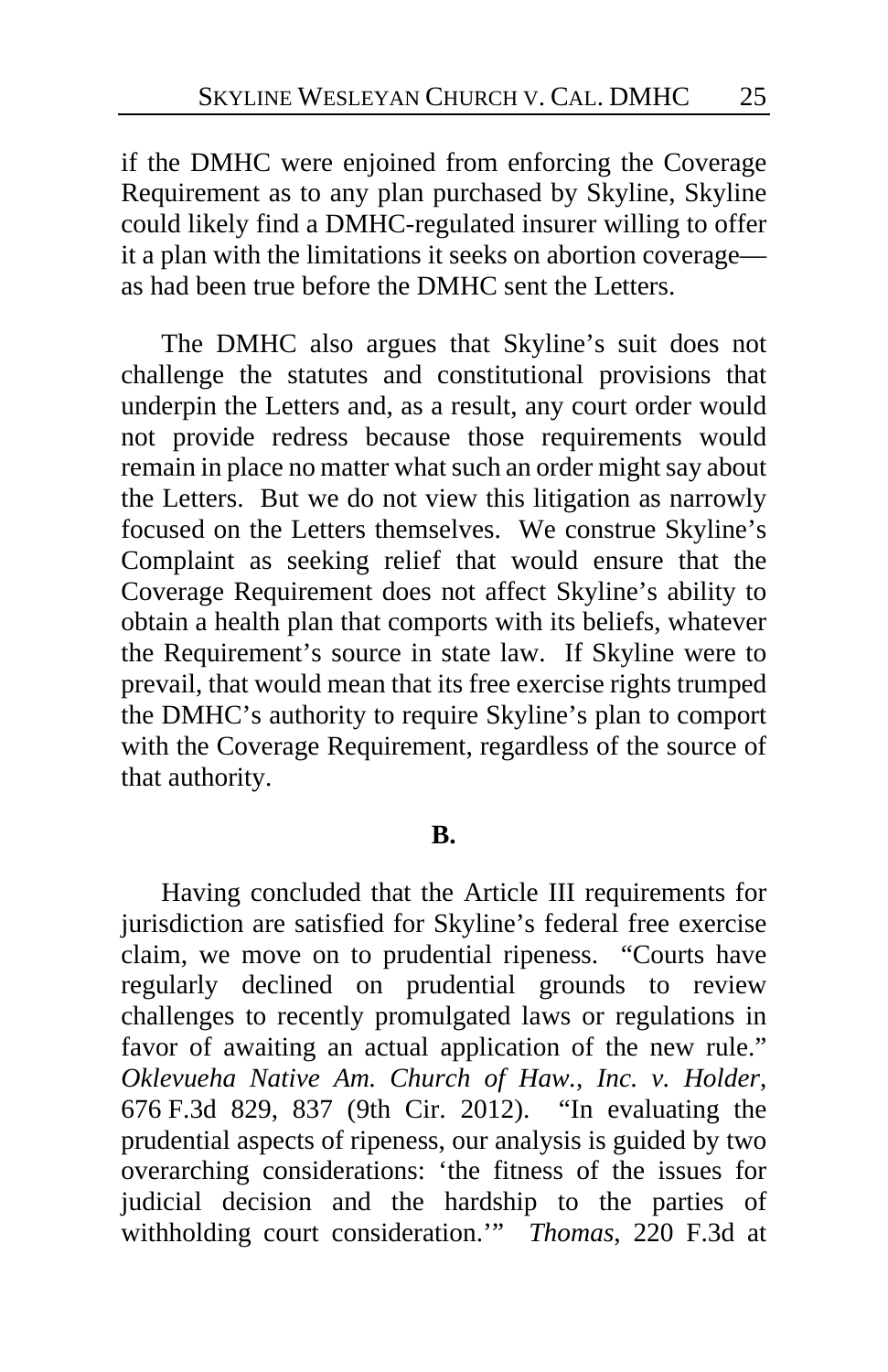if the DMHC were enjoined from enforcing the Coverage Requirement as to any plan purchased by Skyline, Skyline could likely find a DMHC-regulated insurer willing to offer it a plan with the limitations it seeks on abortion coverage as had been true before the DMHC sent the Letters.

The DMHC also argues that Skyline's suit does not challenge the statutes and constitutional provisions that underpin the Letters and, as a result, any court order would not provide redress because those requirements would remain in place no matter what such an order might say about the Letters. But we do not view this litigation as narrowly focused on the Letters themselves. We construe Skyline's Complaint as seeking relief that would ensure that the Coverage Requirement does not affect Skyline's ability to obtain a health plan that comports with its beliefs, whatever the Requirement's source in state law. If Skyline were to prevail, that would mean that its free exercise rights trumped the DMHC's authority to require Skyline's plan to comport with the Coverage Requirement, regardless of the source of that authority.

# **B.**

Having concluded that the Article III requirements for jurisdiction are satisfied for Skyline's federal free exercise claim, we move on to prudential ripeness. "Courts have regularly declined on prudential grounds to review challenges to recently promulgated laws or regulations in favor of awaiting an actual application of the new rule." *Oklevueha Native Am. Church of Haw., Inc. v. Holder*, 676 F.3d 829, 837 (9th Cir. 2012). "In evaluating the prudential aspects of ripeness, our analysis is guided by two overarching considerations: 'the fitness of the issues for judicial decision and the hardship to the parties of withholding court consideration.'" *Thomas*, 220 F.3d at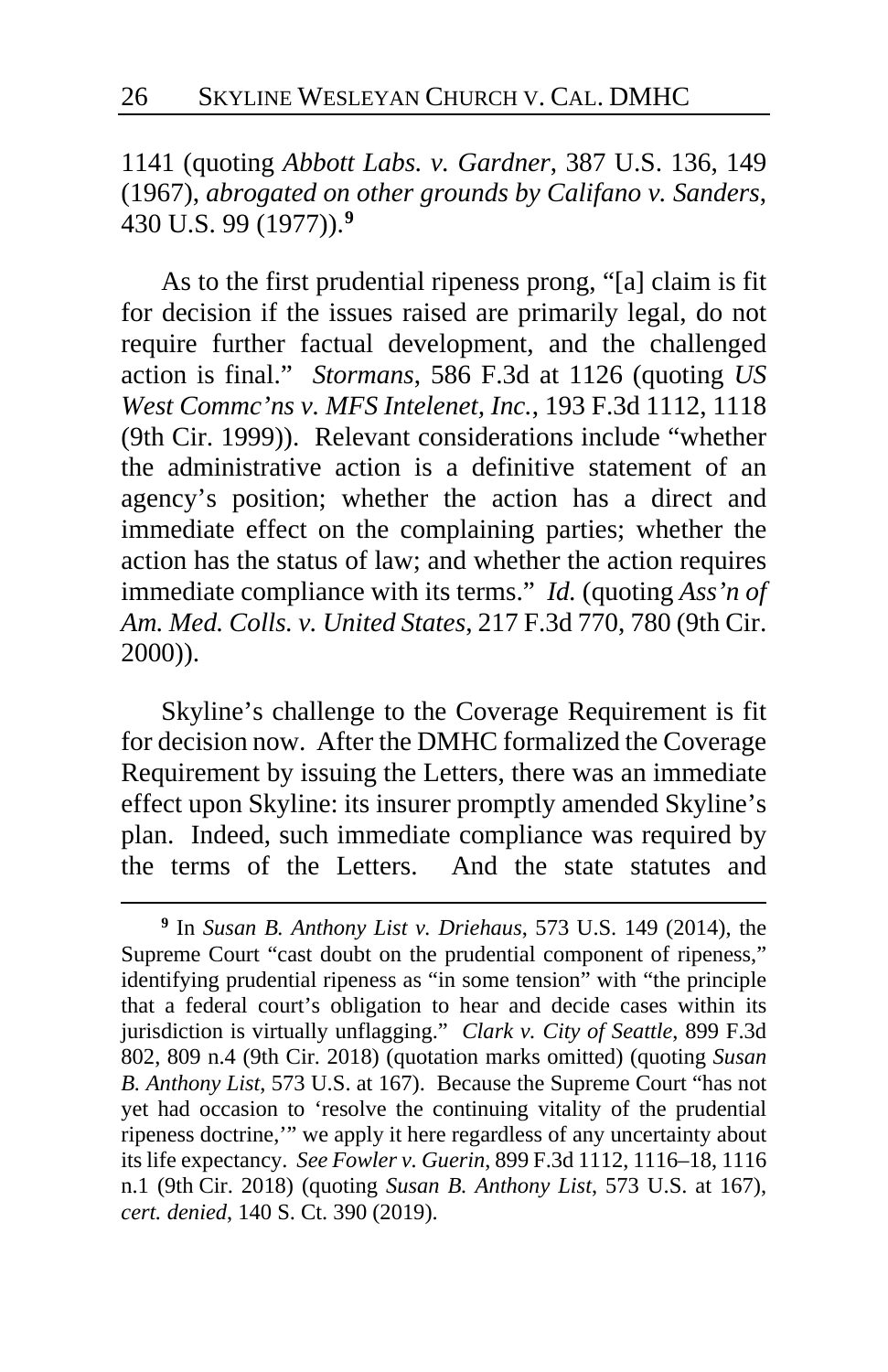1141 (quoting *Abbott Labs. v. Gardner*, 387 U.S. 136, 149 (1967), *abrogated on other grounds by Califano v. Sanders*, 430 U.S. 99 (1977)).**[9](#page-25-0)**

As to the first prudential ripeness prong, "[a] claim is fit for decision if the issues raised are primarily legal, do not require further factual development, and the challenged action is final." *Stormans*, 586 F.3d at 1126 (quoting *US West Commc'ns v. MFS Intelenet, Inc.*, 193 F.3d 1112, 1118 (9th Cir. 1999)). Relevant considerations include "whether the administrative action is a definitive statement of an agency's position; whether the action has a direct and immediate effect on the complaining parties; whether the action has the status of law; and whether the action requires immediate compliance with its terms." *Id.* (quoting *Ass'n of Am. Med. Colls. v. United States*, 217 F.3d 770, 780 (9th Cir. 2000)).

Skyline's challenge to the Coverage Requirement is fit for decision now. After the DMHC formalized the Coverage Requirement by issuing the Letters, there was an immediate effect upon Skyline: its insurer promptly amended Skyline's plan. Indeed, such immediate compliance was required by the terms of the Letters. And the state statutes and

<span id="page-25-0"></span>**<sup>9</sup>** In *Susan B. Anthony List v. Driehaus*, 573 U.S. 149 (2014), the Supreme Court "cast doubt on the prudential component of ripeness," identifying prudential ripeness as "in some tension" with "the principle that a federal court's obligation to hear and decide cases within its jurisdiction is virtually unflagging." *Clark v. City of Seattle*, 899 F.3d 802, 809 n.4 (9th Cir. 2018) (quotation marks omitted) (quoting *Susan B. Anthony List*, 573 U.S. at 167). Because the Supreme Court "has not yet had occasion to 'resolve the continuing vitality of the prudential ripeness doctrine,'" we apply it here regardless of any uncertainty about its life expectancy. *See Fowler v. Guerin*, 899 F.3d 1112, 1116–18, 1116 n.1 (9th Cir. 2018) (quoting *Susan B. Anthony List*, 573 U.S. at 167), *cert. denied*, 140 S. Ct. 390 (2019).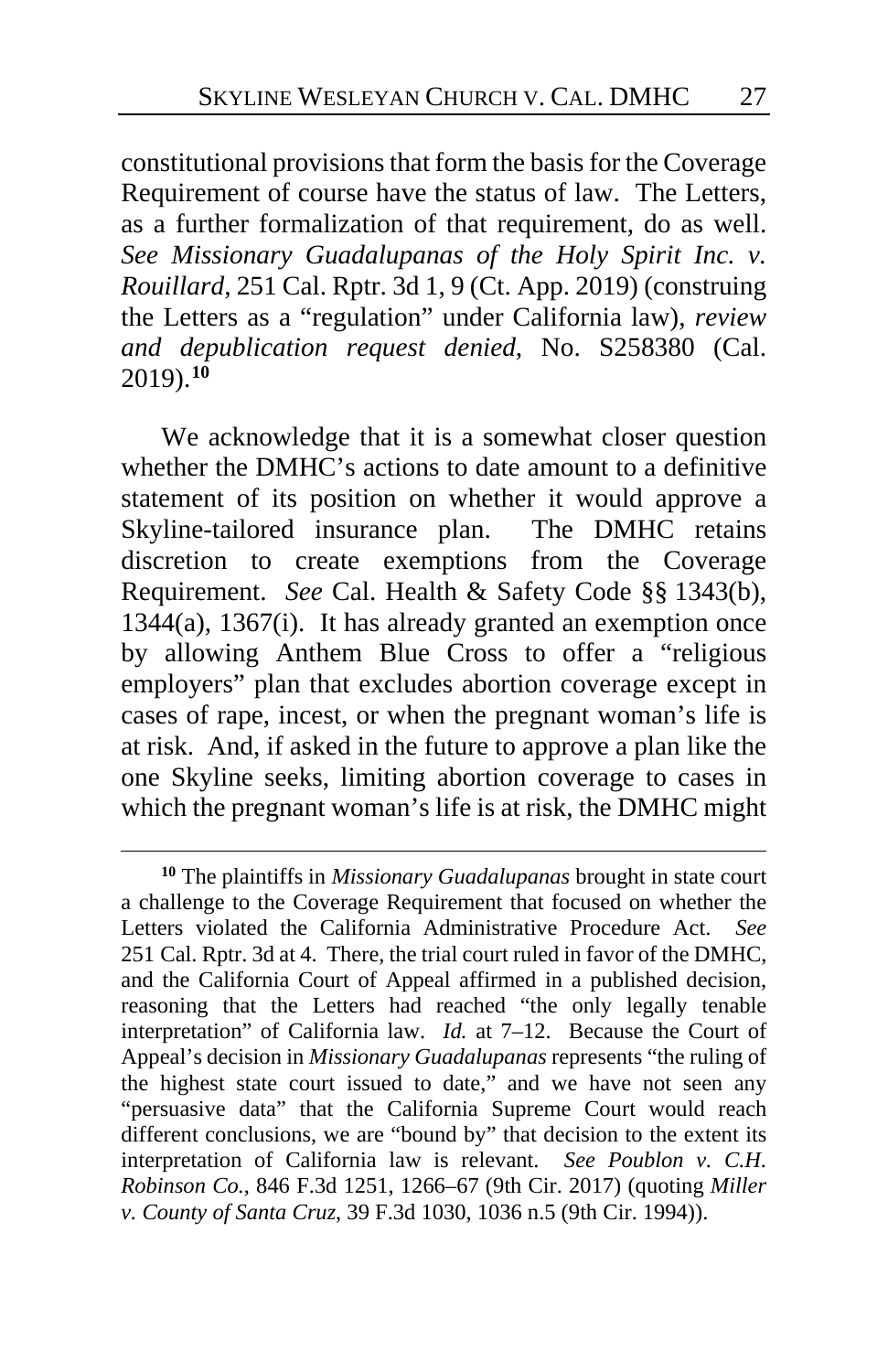constitutional provisions that form the basis for the Coverage Requirement of course have the status of law. The Letters, as a further formalization of that requirement, do as well. *See Missionary Guadalupanas of the Holy Spirit Inc. v. Rouillard*, 251 Cal. Rptr. 3d 1, 9 (Ct. App. 2019) (construing the Letters as a "regulation" under California law), *review and depublication request denied*, No. S258380 (Cal. 2019).**[10](#page-26-0)**

We acknowledge that it is a somewhat closer question whether the DMHC's actions to date amount to a definitive statement of its position on whether it would approve a Skyline-tailored insurance plan. The DMHC retains discretion to create exemptions from the Coverage Requirement. *See* Cal. Health & Safety Code §§ 1343(b), 1344(a), 1367(i). It has already granted an exemption once by allowing Anthem Blue Cross to offer a "religious employers" plan that excludes abortion coverage except in cases of rape, incest, or when the pregnant woman's life is at risk. And, if asked in the future to approve a plan like the one Skyline seeks, limiting abortion coverage to cases in which the pregnant woman's life is at risk, the DMHC might

<span id="page-26-0"></span>**<sup>10</sup>** The plaintiffs in *Missionary Guadalupanas* brought in state court a challenge to the Coverage Requirement that focused on whether the Letters violated the California Administrative Procedure Act. *See*  251 Cal. Rptr. 3d at 4. There, the trial court ruled in favor of the DMHC, and the California Court of Appeal affirmed in a published decision, reasoning that the Letters had reached "the only legally tenable interpretation" of California law. *Id.* at 7–12. Because the Court of Appeal's decision in *Missionary Guadalupanas* represents "the ruling of the highest state court issued to date," and we have not seen any "persuasive data" that the California Supreme Court would reach different conclusions, we are "bound by" that decision to the extent its interpretation of California law is relevant. *See Poublon v. C.H. Robinson Co.*, 846 F.3d 1251, 1266–67 (9th Cir. 2017) (quoting *Miller v. County of Santa Cruz*, 39 F.3d 1030, 1036 n.5 (9th Cir. 1994)).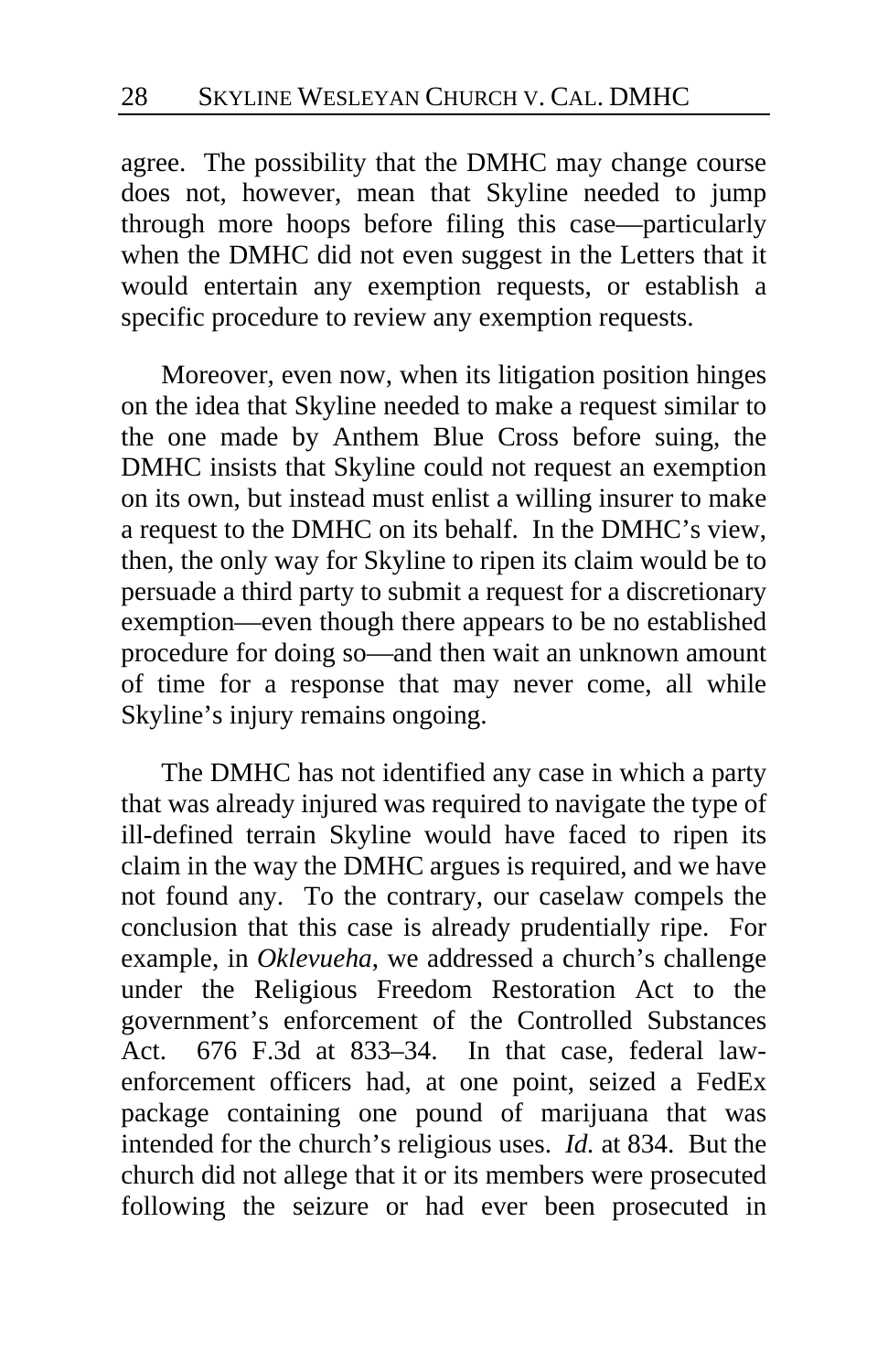agree. The possibility that the DMHC may change course does not, however, mean that Skyline needed to jump through more hoops before filing this case—particularly when the DMHC did not even suggest in the Letters that it would entertain any exemption requests, or establish a specific procedure to review any exemption requests.

Moreover, even now, when its litigation position hinges on the idea that Skyline needed to make a request similar to the one made by Anthem Blue Cross before suing, the DMHC insists that Skyline could not request an exemption on its own, but instead must enlist a willing insurer to make a request to the DMHC on its behalf. In the DMHC's view, then, the only way for Skyline to ripen its claim would be to persuade a third party to submit a request for a discretionary exemption—even though there appears to be no established procedure for doing so—and then wait an unknown amount of time for a response that may never come, all while Skyline's injury remains ongoing.

The DMHC has not identified any case in which a party that was already injured was required to navigate the type of ill-defined terrain Skyline would have faced to ripen its claim in the way the DMHC argues is required, and we have not found any. To the contrary, our caselaw compels the conclusion that this case is already prudentially ripe. For example, in *Oklevueha*, we addressed a church's challenge under the Religious Freedom Restoration Act to the government's enforcement of the Controlled Substances Act. 676 F.3d at 833–34. In that case, federal lawenforcement officers had, at one point, seized a FedEx package containing one pound of marijuana that was intended for the church's religious uses. *Id.* at 834. But the church did not allege that it or its members were prosecuted following the seizure or had ever been prosecuted in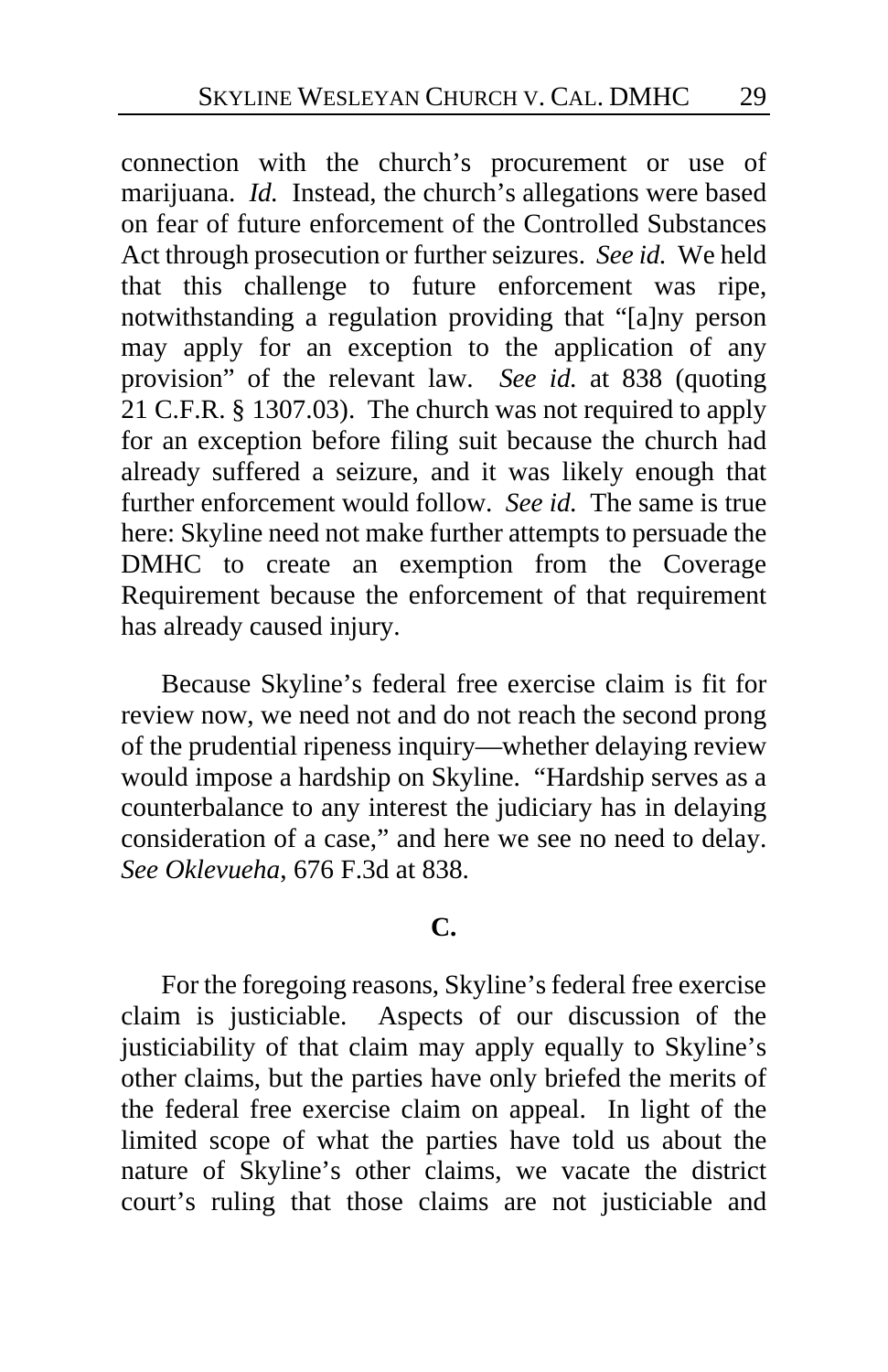connection with the church's procurement or use of marijuana. *Id.* Instead, the church's allegations were based on fear of future enforcement of the Controlled Substances Act through prosecution or further seizures. *See id.* We held that this challenge to future enforcement was ripe, notwithstanding a regulation providing that "[a]ny person may apply for an exception to the application of any provision" of the relevant law. *See id.* at 838 (quoting 21 C.F.R. § 1307.03). The church was not required to apply for an exception before filing suit because the church had already suffered a seizure, and it was likely enough that further enforcement would follow. *See id.* The same is true here: Skyline need not make further attempts to persuade the DMHC to create an exemption from the Coverage Requirement because the enforcement of that requirement has already caused injury.

Because Skyline's federal free exercise claim is fit for review now, we need not and do not reach the second prong of the prudential ripeness inquiry—whether delaying review would impose a hardship on Skyline. "Hardship serves as a counterbalance to any interest the judiciary has in delaying consideration of a case," and here we see no need to delay. *See Oklevueha*, 676 F.3d at 838.

# **C.**

For the foregoing reasons, Skyline's federal free exercise claim is justiciable. Aspects of our discussion of the justiciability of that claim may apply equally to Skyline's other claims, but the parties have only briefed the merits of the federal free exercise claim on appeal. In light of the limited scope of what the parties have told us about the nature of Skyline's other claims, we vacate the district court's ruling that those claims are not justiciable and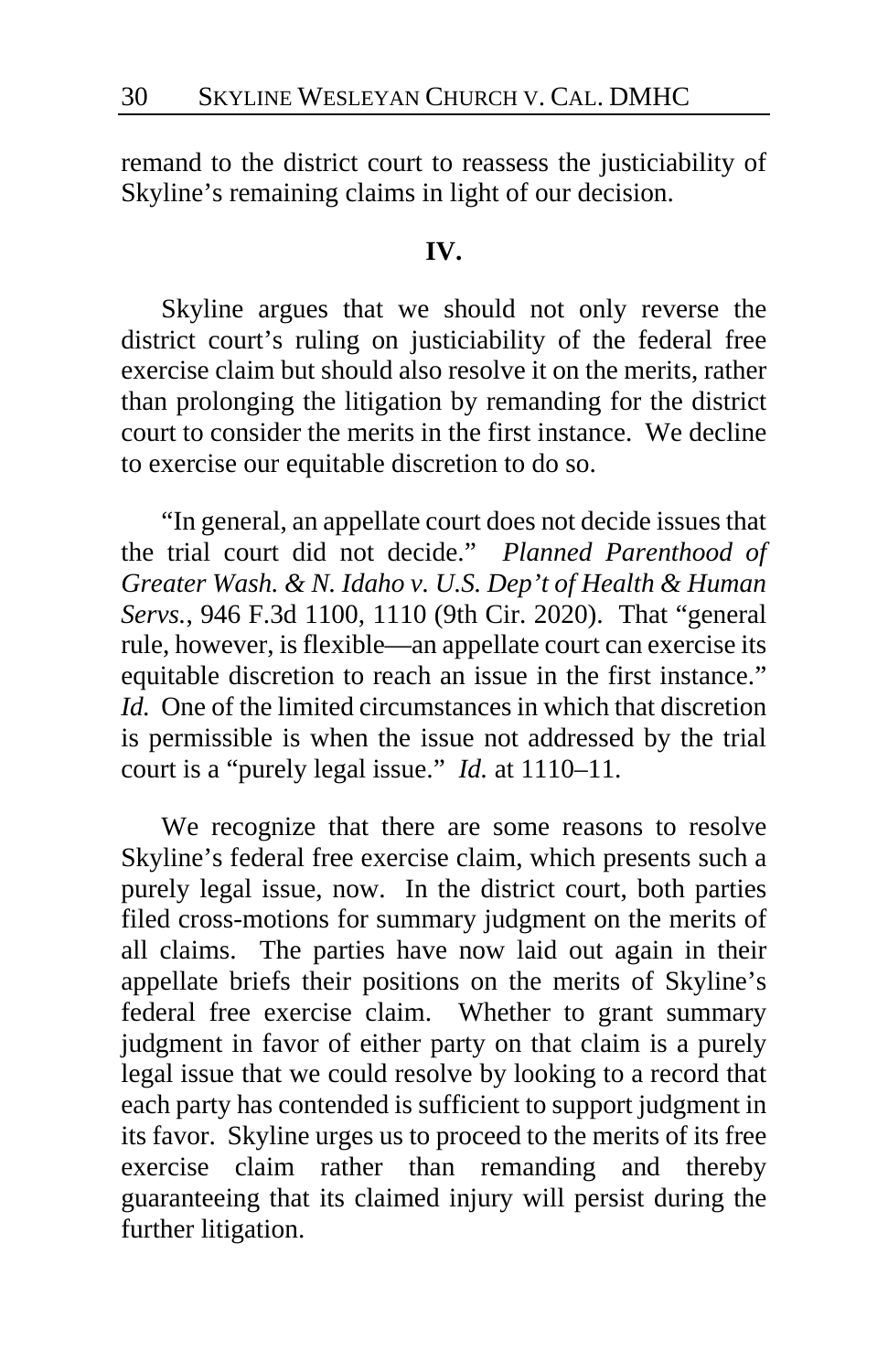remand to the district court to reassess the justiciability of Skyline's remaining claims in light of our decision.

# **IV.**

Skyline argues that we should not only reverse the district court's ruling on justiciability of the federal free exercise claim but should also resolve it on the merits, rather than prolonging the litigation by remanding for the district court to consider the merits in the first instance. We decline to exercise our equitable discretion to do so.

"In general, an appellate court does not decide issues that the trial court did not decide." *Planned Parenthood of Greater Wash. & N. Idaho v. U.S. Dep't of Health & Human Servs.*, 946 F.3d 1100, 1110 (9th Cir. 2020). That "general rule, however, is flexible—an appellate court can exercise its equitable discretion to reach an issue in the first instance." *Id.* One of the limited circumstances in which that discretion is permissible is when the issue not addressed by the trial court is a "purely legal issue." *Id.* at 1110–11.

We recognize that there are some reasons to resolve Skyline's federal free exercise claim, which presents such a purely legal issue, now. In the district court, both parties filed cross-motions for summary judgment on the merits of all claims. The parties have now laid out again in their appellate briefs their positions on the merits of Skyline's federal free exercise claim. Whether to grant summary judgment in favor of either party on that claim is a purely legal issue that we could resolve by looking to a record that each party has contended is sufficient to support judgment in its favor. Skyline urges us to proceed to the merits of its free exercise claim rather than remanding and thereby guaranteeing that its claimed injury will persist during the further litigation.